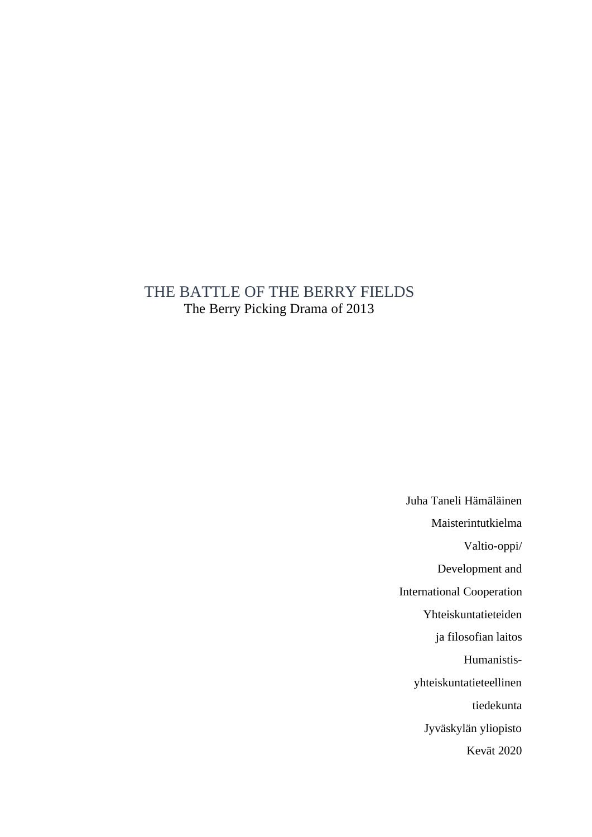# THE BATTLE OF THE BERRY FIELDS The Berry Picking Drama of 2013

Juha Taneli Hämäläinen Maisterintutkielma Valtio-oppi/ Development and International Cooperation Yhteiskuntatieteiden ja filosofian laitos Humanistisyhteiskuntatieteellinen tiedekunta Jyväskylän yliopisto Kevät 2020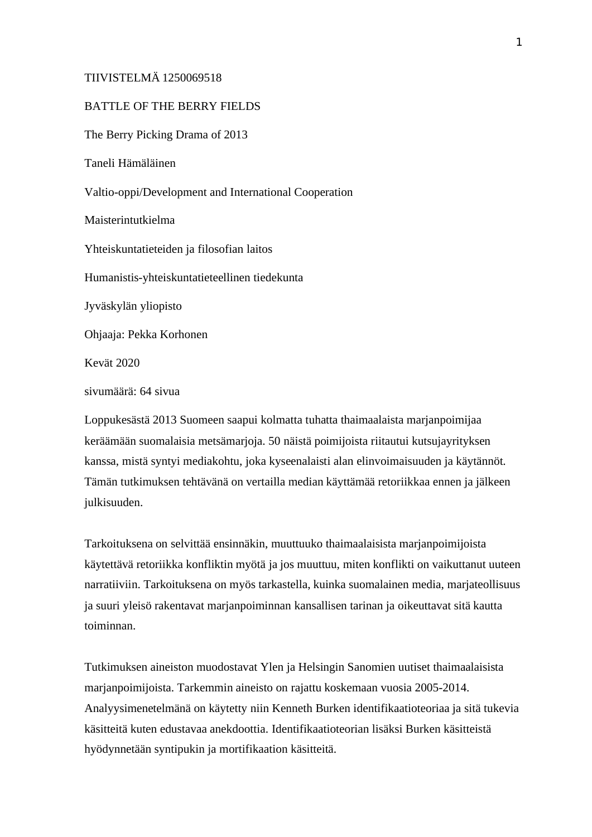### TIIVISTELMÄ 1250069518

#### BATTLE OF THE BERRY FIELDS

The Berry Picking Drama of 2013 Taneli Hämäläinen Valtio-oppi/Development and International Cooperation Maisterintutkielma Yhteiskuntatieteiden ja filosofian laitos Humanistis-yhteiskuntatieteellinen tiedekunta Jyväskylän yliopisto Ohjaaja: Pekka Korhonen Kevät 2020 sivumäärä: 64 sivua

Loppukesästä 2013 Suomeen saapui kolmatta tuhatta thaimaalaista marjanpoimijaa keräämään suomalaisia metsämarjoja. 50 näistä poimijoista riitautui kutsujayrityksen kanssa, mistä syntyi mediakohtu, joka kyseenalaisti alan elinvoimaisuuden ja käytännöt. Tämän tutkimuksen tehtävänä on vertailla median käyttämää retoriikkaa ennen ja jälkeen julkisuuden.

Tarkoituksena on selvittää ensinnäkin, muuttuuko thaimaalaisista marjanpoimijoista käytettävä retoriikka konfliktin myötä ja jos muuttuu, miten konflikti on vaikuttanut uuteen narratiiviin. Tarkoituksena on myös tarkastella, kuinka suomalainen media, marjateollisuus ja suuri yleisö rakentavat marjanpoiminnan kansallisen tarinan ja oikeuttavat sitä kautta toiminnan.

Tutkimuksen aineiston muodostavat Ylen ja Helsingin Sanomien uutiset thaimaalaisista marjanpoimijoista. Tarkemmin aineisto on rajattu koskemaan vuosia 2005-2014. Analyysimenetelmänä on käytetty niin Kenneth Burken identifikaatioteoriaa ja sitä tukevia käsitteitä kuten edustavaa anekdoottia. Identifikaatioteorian lisäksi Burken käsitteistä hyödynnetään syntipukin ja mortifikaation käsitteitä.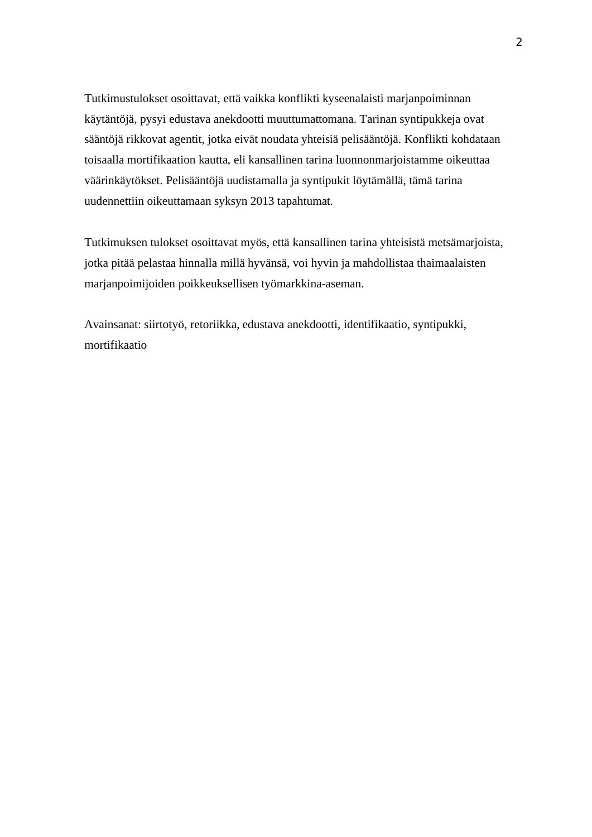Tutkimustulokset osoittavat, että vaikka konflikti kyseenalaisti marjanpoiminnan käytäntöjä, pysyi edustava anekdootti muuttumattomana. Tarinan syntipukkeja ovat sääntöjä rikkovat agentit, jotka eivät noudata yhteisiä pelisääntöjä. Konflikti kohdataan toisaalla mortifikaation kautta, eli kansallinen tarina luonnonmarjoistamme oikeuttaa väärinkäytökset. Pelisääntöjä uudistamalla ja syntipukit löytämällä, tämä tarina uudennettiin oikeuttamaan syksyn 2013 tapahtumat.

Tutkimuksen tulokset osoittavat myös, että kansallinen tarina yhteisistä metsämarjoista, jotka pitää pelastaa hinnalla millä hyvänsä, voi hyvin ja mahdollistaa thaimaalaisten marjanpoimijoiden poikkeuksellisen työmarkkina-aseman.

Avainsanat: siirtotyö, retoriikka, edustava anekdootti, identifikaatio, syntipukki, mortifikaatio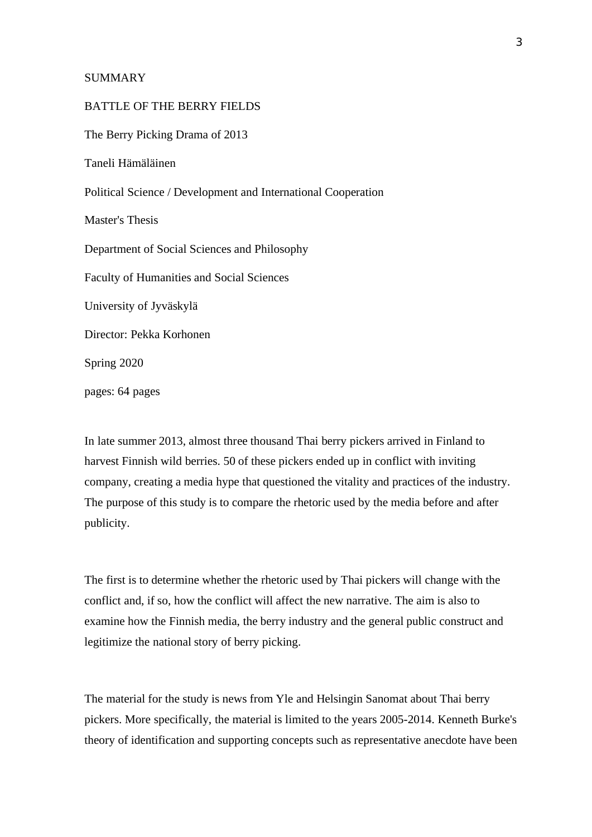#### SUMMARY

# BATTLE OF THE BERRY FIELDS The Berry Picking Drama of 2013 Taneli Hämäläinen Political Science / Development and International Cooperation Master's Thesis Department of Social Sciences and Philosophy Faculty of Humanities and Social Sciences University of Jyväskylä Director: Pekka Korhonen Spring 2020 pages: 64 pages

In late summer 2013, almost three thousand Thai berry pickers arrived in Finland to harvest Finnish wild berries. 50 of these pickers ended up in conflict with inviting company, creating a media hype that questioned the vitality and practices of the industry. The purpose of this study is to compare the rhetoric used by the media before and after publicity.

The first is to determine whether the rhetoric used by Thai pickers will change with the conflict and, if so, how the conflict will affect the new narrative. The aim is also to examine how the Finnish media, the berry industry and the general public construct and legitimize the national story of berry picking.

The material for the study is news from Yle and Helsingin Sanomat about Thai berry pickers. More specifically, the material is limited to the years 2005-2014. Kenneth Burke's theory of identification and supporting concepts such as representative anecdote have been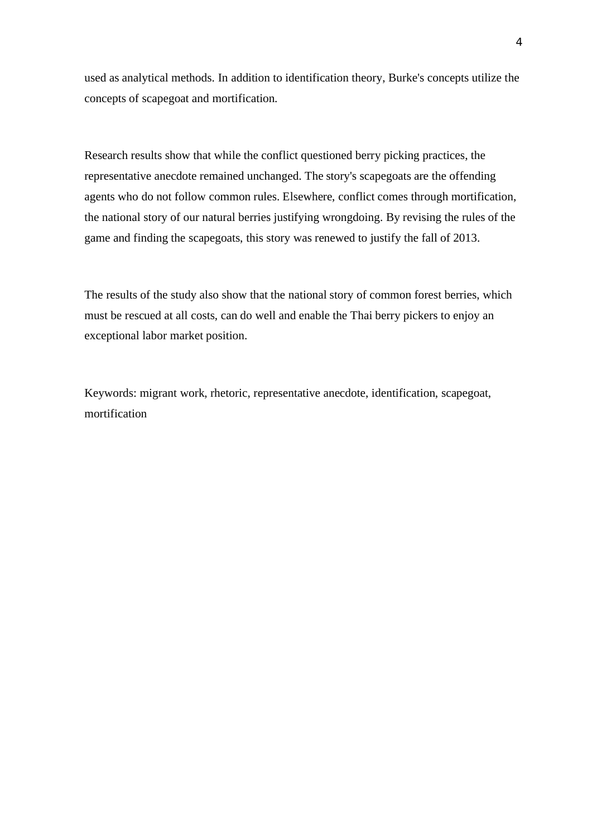used as analytical methods. In addition to identification theory, Burke's concepts utilize the concepts of scapegoat and mortification.

Research results show that while the conflict questioned berry picking practices, the representative anecdote remained unchanged. The story's scapegoats are the offending agents who do not follow common rules. Elsewhere, conflict comes through mortification, the national story of our natural berries justifying wrongdoing. By revising the rules of the game and finding the scapegoats, this story was renewed to justify the fall of 2013.

The results of the study also show that the national story of common forest berries, which must be rescued at all costs, can do well and enable the Thai berry pickers to enjoy an exceptional labor market position.

Keywords: migrant work, rhetoric, representative anecdote, identification, scapegoat, mortification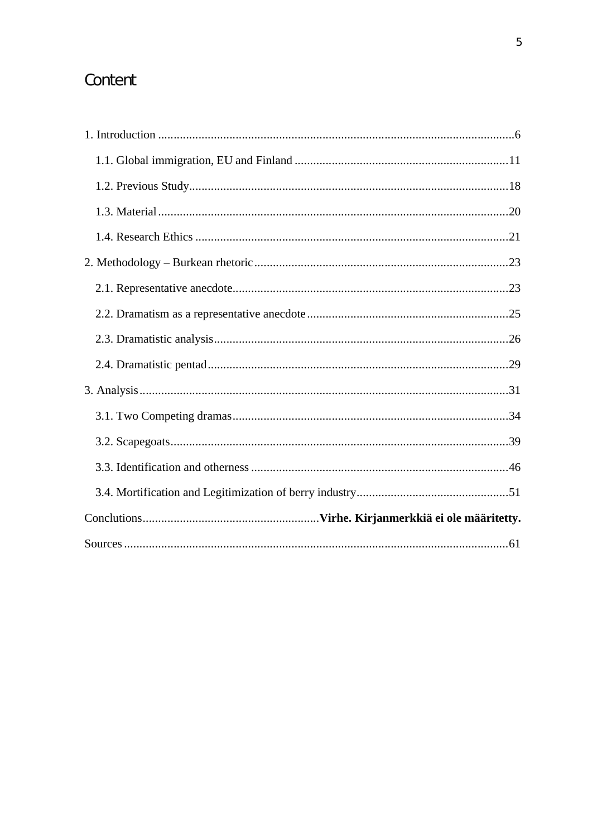# Content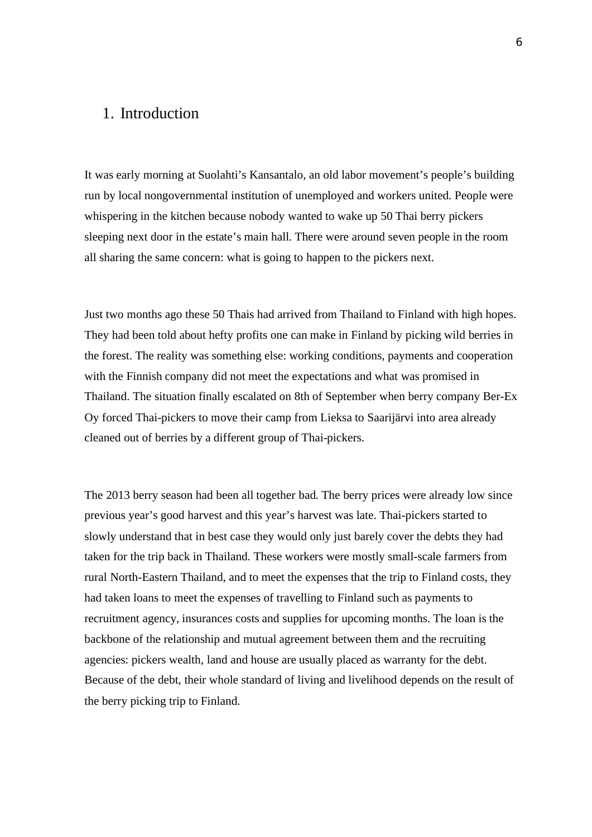## 1. Introduction

It was early morning at Suolahti's Kansantalo, an old labor movement's people's building run by local nongovernmental institution of unemployed and workers united. People were whispering in the kitchen because nobody wanted to wake up 50 Thai berry pickers sleeping next door in the estate's main hall. There were around seven people in the room all sharing the same concern: what is going to happen to the pickers next.

Just two months ago these 50 Thais had arrived from Thailand to Finland with high hopes. They had been told about hefty profits one can make in Finland by picking wild berries in the forest. The reality was something else: working conditions, payments and cooperation with the Finnish company did not meet the expectations and what was promised in Thailand. The situation finally escalated on 8th of September when berry company Ber-Ex Oy forced Thai-pickers to move their camp from Lieksa to Saarijärvi into area already cleaned out of berries by a different group of Thai-pickers.

The 2013 berry season had been all together bad. The berry prices were already low since previous year's good harvest and this year's harvest was late. Thai-pickers started to slowly understand that in best case they would only just barely cover the debts they had taken for the trip back in Thailand. These workers were mostly small-scale farmers from rural North-Eastern Thailand, and to meet the expenses that the trip to Finland costs, they had taken loans to meet the expenses of travelling to Finland such as payments to recruitment agency, insurances costs and supplies for upcoming months. The loan is the backbone of the relationship and mutual agreement between them and the recruiting agencies: pickers wealth, land and house are usually placed as warranty for the debt. Because of the debt, their whole standard of living and livelihood depends on the result of the berry picking trip to Finland.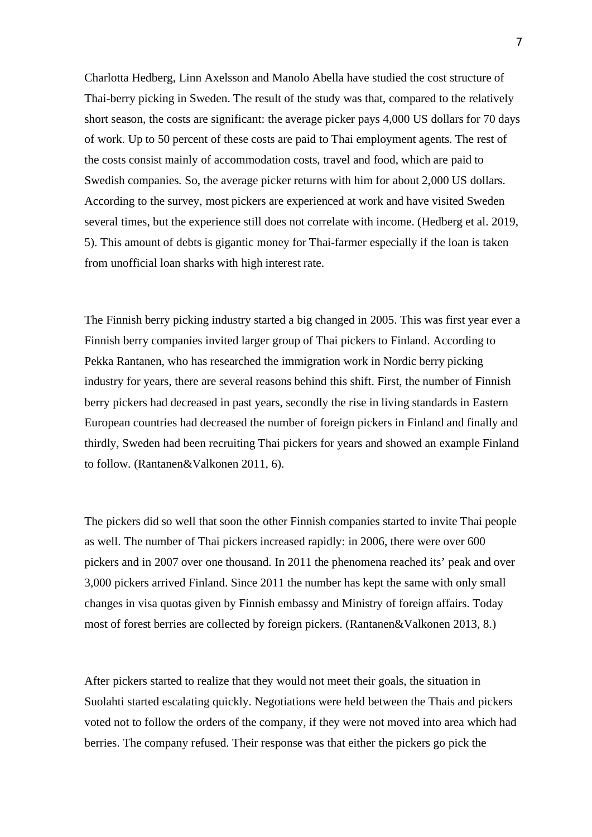Charlotta Hedberg, Linn Axelsson and Manolo Abella have studied the cost structure of Thai-berry picking in Sweden. The result of the study was that, compared to the relatively short season, the costs are significant: the average picker pays 4,000 US dollars for 70 days of work. Up to 50 percent of these costs are paid to Thai employment agents. The rest of the costs consist mainly of accommodation costs, travel and food, which are paid to Swedish companies. So, the average picker returns with him for about 2,000 US dollars. According to the survey, most pickers are experienced at work and have visited Sweden several times, but the experience still does not correlate with income. (Hedberg et al. 2019, 5). This amount of debts is gigantic money for Thai-farmer especially if the loan is taken from unofficial loan sharks with high interest rate.

The Finnish berry picking industry started a big changed in 2005. This was first year ever a Finnish berry companies invited larger group of Thai pickers to Finland. According to Pekka Rantanen, who has researched the immigration work in Nordic berry picking industry for years, there are several reasons behind this shift. First, the number of Finnish berry pickers had decreased in past years, secondly the rise in living standards in Eastern European countries had decreased the number of foreign pickers in Finland and finally and thirdly, Sweden had been recruiting Thai pickers for years and showed an example Finland to follow. (Rantanen&Valkonen 2011, 6).

The pickers did so well that soon the other Finnish companies started to invite Thai people as well. The number of Thai pickers increased rapidly: in 2006, there were over 600 pickers and in 2007 over one thousand. In 2011 the phenomena reached its' peak and over 3,000 pickers arrived Finland. Since 2011 the number has kept the same with only small changes in visa quotas given by Finnish embassy and Ministry of foreign affairs. Today most of forest berries are collected by foreign pickers. (Rantanen&Valkonen 2013, 8.)

After pickers started to realize that they would not meet their goals, the situation in Suolahti started escalating quickly. Negotiations were held between the Thais and pickers voted not to follow the orders of the company, if they were not moved into area which had berries. The company refused. Their response was that either the pickers go pick the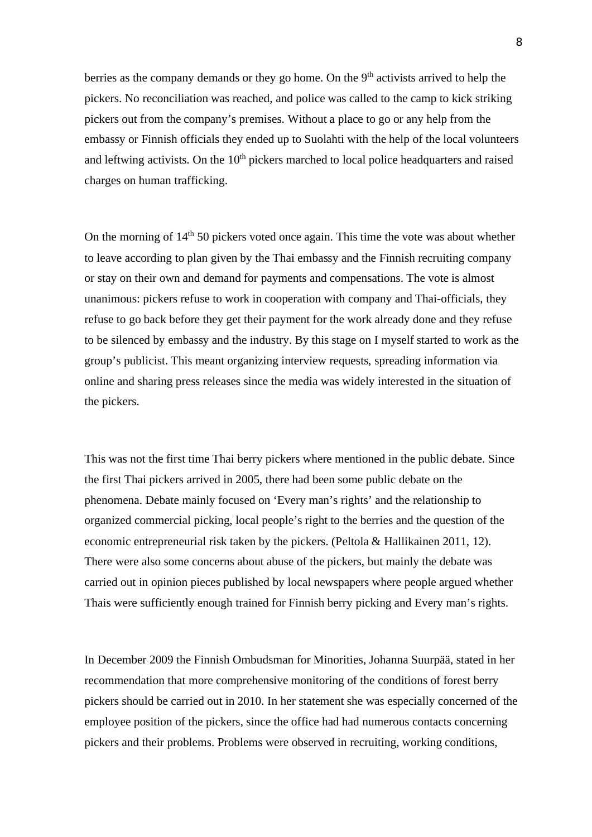berries as the company demands or they go home. On the  $9<sup>th</sup>$  activists arrived to help the pickers. No reconciliation was reached, and police was called to the camp to kick striking pickers out from the company's premises. Without a place to go or any help from the embassy or Finnish officials they ended up to Suolahti with the help of the local volunteers and leftwing activists. On the  $10<sup>th</sup>$  pickers marched to local police headquarters and raised charges on human trafficking.

On the morning of  $14<sup>th</sup> 50$  pickers voted once again. This time the vote was about whether to leave according to plan given by the Thai embassy and the Finnish recruiting company or stay on their own and demand for payments and compensations. The vote is almost unanimous: pickers refuse to work in cooperation with company and Thai-officials, they refuse to go back before they get their payment for the work already done and they refuse to be silenced by embassy and the industry. By this stage on I myself started to work as the group's publicist. This meant organizing interview requests, spreading information via online and sharing press releases since the media was widely interested in the situation of the pickers.

This was not the first time Thai berry pickers where mentioned in the public debate. Since the first Thai pickers arrived in 2005, there had been some public debate on the phenomena. Debate mainly focused on 'Every man's rights' and the relationship to organized commercial picking, local people's right to the berries and the question of the economic entrepreneurial risk taken by the pickers. (Peltola & Hallikainen 2011, 12). There were also some concerns about abuse of the pickers, but mainly the debate was carried out in opinion pieces published by local newspapers where people argued whether Thais were sufficiently enough trained for Finnish berry picking and Every man's rights.

In December 2009 the Finnish Ombudsman for Minorities, Johanna Suurpää, stated in her recommendation that more comprehensive monitoring of the conditions of forest berry pickers should be carried out in 2010. In her statement she was especially concerned of the employee position of the pickers, since the office had had numerous contacts concerning pickers and their problems. Problems were observed in recruiting, working conditions,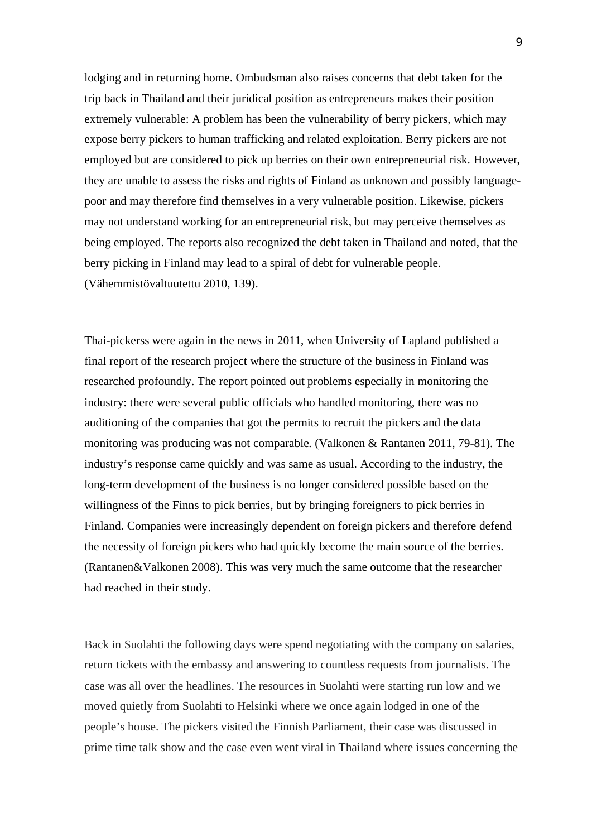lodging and in returning home. Ombudsman also raises concerns that debt taken for the trip back in Thailand and their juridical position as entrepreneurs makes their position extremely vulnerable: A problem has been the vulnerability of berry pickers, which may expose berry pickers to human trafficking and related exploitation. Berry pickers are not employed but are considered to pick up berries on their own entrepreneurial risk. However, they are unable to assess the risks and rights of Finland as unknown and possibly languagepoor and may therefore find themselves in a very vulnerable position. Likewise, pickers may not understand working for an entrepreneurial risk, but may perceive themselves as being employed. The reports also recognized the debt taken in Thailand and noted, that the berry picking in Finland may lead to a spiral of debt for vulnerable people. (Vähemmistövaltuutettu 2010, 139).

Thai-pickerss were again in the news in 2011, when University of Lapland published a final report of the research project where the structure of the business in Finland was researched profoundly. The report pointed out problems especially in monitoring the industry: there were several public officials who handled monitoring, there was no auditioning of the companies that got the permits to recruit the pickers and the data monitoring was producing was not comparable. (Valkonen & Rantanen 2011, 79-81). The industry's response came quickly and was same as usual. According to the industry, the long-term development of the business is no longer considered possible based on the willingness of the Finns to pick berries, but by bringing foreigners to pick berries in Finland. Companies were increasingly dependent on foreign pickers and therefore defend the necessity of foreign pickers who had quickly become the main source of the berries. (Rantanen&Valkonen 2008). This was very much the same outcome that the researcher had reached in their study.

Back in Suolahti the following days were spend negotiating with the company on salaries, return tickets with the embassy and answering to countless requests from journalists. The case was all over the headlines. The resources in Suolahti were starting run low and we moved quietly from Suolahti to Helsinki where we once again lodged in one of the people's house. The pickers visited the Finnish Parliament, their case was discussed in prime time talk show and the case even went viral in Thailand where issues concerning the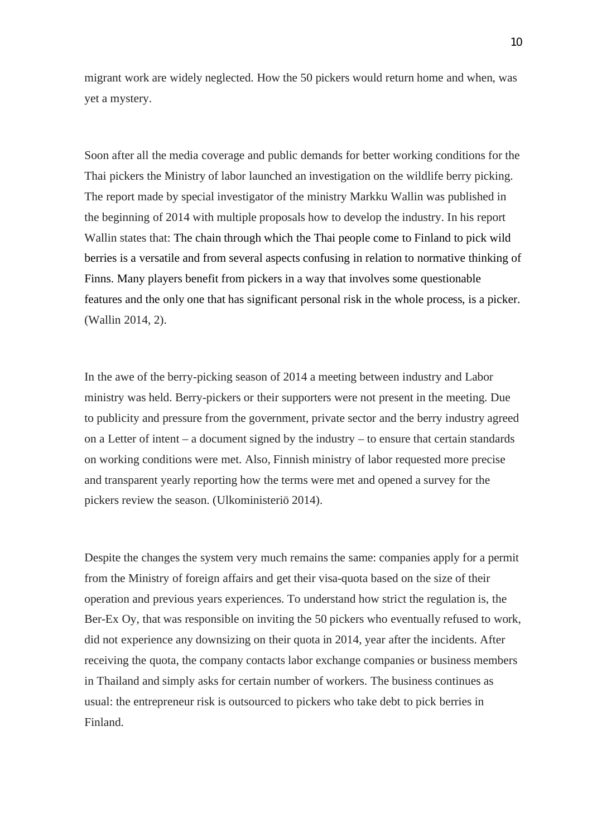migrant work are widely neglected. How the 50 pickers would return home and when, was yet a mystery.

Soon after all the media coverage and public demands for better working conditions for the Thai pickers the Ministry of labor launched an investigation on the wildlife berry picking. The report made by special investigator of the ministry Markku Wallin was published in the beginning of 2014 with multiple proposals how to develop the industry. In his report Wallin states that: The chain through which the Thai people come to Finland to pick wild berries is a versatile and from several aspects confusing in relation to normative thinking of Finns. Many players benefit from pickers in a way that involves some questionable features and the only one that has significant personal risk in the whole process, is a picker. (Wallin 2014, 2).

In the awe of the berry-picking season of 2014 a meeting between industry and Labor ministry was held. Berry-pickers or their supporters were not present in the meeting. Due to publicity and pressure from the government, private sector and the berry industry agreed on a Letter of intent – a document signed by the industry – to ensure that certain standards on working conditions were met. Also, Finnish ministry of labor requested more precise and transparent yearly reporting how the terms were met and opened a survey for the pickers review the season. (Ulkoministeriö 2014).

Despite the changes the system very much remains the same: companies apply for a permit from the Ministry of foreign affairs and get their visa-quota based on the size of their operation and previous years experiences. To understand how strict the regulation is, the Ber-Ex Oy, that was responsible on inviting the 50 pickers who eventually refused to work, did not experience any downsizing on their quota in 2014, year after the incidents. After receiving the quota, the company contacts labor exchange companies or business members in Thailand and simply asks for certain number of workers. The business continues as usual: the entrepreneur risk is outsourced to pickers who take debt to pick berries in Finland.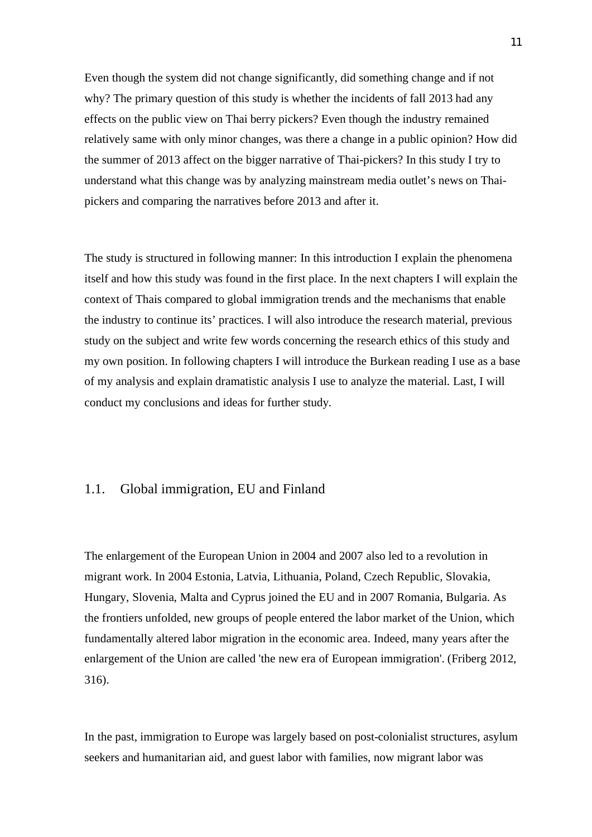Even though the system did not change significantly, did something change and if not why? The primary question of this study is whether the incidents of fall 2013 had any effects on the public view on Thai berry pickers? Even though the industry remained relatively same with only minor changes, was there a change in a public opinion? How did the summer of 2013 affect on the bigger narrative of Thai-pickers? In this study I try to understand what this change was by analyzing mainstream media outlet's news on Thaipickers and comparing the narratives before 2013 and after it.

The study is structured in following manner: In this introduction I explain the phenomena itself and how this study was found in the first place. In the next chapters I will explain the context of Thais compared to global immigration trends and the mechanisms that enable the industry to continue its' practices. I will also introduce the research material, previous study on the subject and write few words concerning the research ethics of this study and my own position. In following chapters I will introduce the Burkean reading I use as a base of my analysis and explain dramatistic analysis I use to analyze the material. Last, I will conduct my conclusions and ideas for further study.

### 1.1. Global immigration, EU and Finland

The enlargement of the European Union in 2004 and 2007 also led to a revolution in migrant work. In 2004 Estonia, Latvia, Lithuania, Poland, Czech Republic, Slovakia, Hungary, Slovenia, Malta and Cyprus joined the EU and in 2007 Romania, Bulgaria. As the frontiers unfolded, new groups of people entered the labor market of the Union, which fundamentally altered labor migration in the economic area. Indeed, many years after the enlargement of the Union are called 'the new era of European immigration'. (Friberg 2012, 316).

In the past, immigration to Europe was largely based on post-colonialist structures, asylum seekers and humanitarian aid, and guest labor with families, now migrant labor was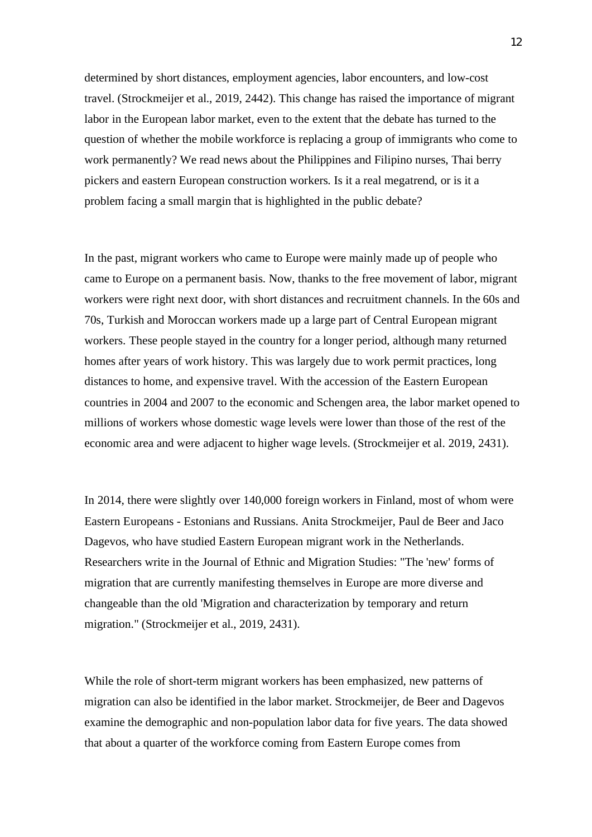determined by short distances, employment agencies, labor encounters, and low-cost travel. (Strockmeijer et al., 2019, 2442). This change has raised the importance of migrant labor in the European labor market, even to the extent that the debate has turned to the question of whether the mobile workforce is replacing a group of immigrants who come to work permanently? We read news about the Philippines and Filipino nurses, Thai berry pickers and eastern European construction workers. Is it a real megatrend, or is it a problem facing a small margin that is highlighted in the public debate?

In the past, migrant workers who came to Europe were mainly made up of people who came to Europe on a permanent basis. Now, thanks to the free movement of labor, migrant workers were right next door, with short distances and recruitment channels. In the 60s and 70s, Turkish and Moroccan workers made up a large part of Central European migrant workers. These people stayed in the country for a longer period, although many returned homes after years of work history. This was largely due to work permit practices, long distances to home, and expensive travel. With the accession of the Eastern European countries in 2004 and 2007 to the economic and Schengen area, the labor market opened to millions of workers whose domestic wage levels were lower than those of the rest of the economic area and were adjacent to higher wage levels. (Strockmeijer et al. 2019, 2431).

In 2014, there were slightly over 140,000 foreign workers in Finland, most of whom were Eastern Europeans - Estonians and Russians. Anita Strockmeijer, Paul de Beer and Jaco Dagevos, who have studied Eastern European migrant work in the Netherlands. Researchers write in the Journal of Ethnic and Migration Studies: "The 'new' forms of migration that are currently manifesting themselves in Europe are more diverse and changeable than the old 'Migration and characterization by temporary and return migration." (Strockmeijer et al., 2019, 2431).

While the role of short-term migrant workers has been emphasized, new patterns of migration can also be identified in the labor market. Strockmeijer, de Beer and Dagevos examine the demographic and non-population labor data for five years. The data showed that about a quarter of the workforce coming from Eastern Europe comes from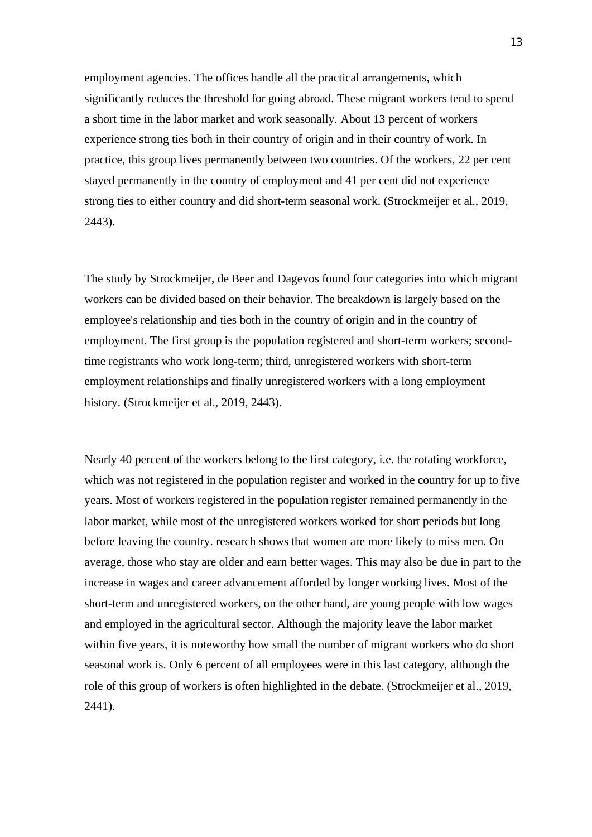employment agencies. The offices handle all the practical arrangements, which significantly reduces the threshold for going abroad. These migrant workers tend to spend a short time in the labor market and work seasonally. About 13 percent of workers experience strong ties both in their country of origin and in their country of work. In practice, this group lives permanently between two countries. Of the workers, 22 per cent stayed permanently in the country of employment and 41 per cent did not experience strong ties to either country and did short-term seasonal work. (Strockmeijer et al., 2019, 2443).

The study by Strockmeijer, de Beer and Dagevos found four categories into which migrant workers can be divided based on their behavior. The breakdown is largely based on the employee's relationship and ties both in the country of origin and in the country of employment. The first group is the population registered and short-term workers; secondtime registrants who work long-term; third, unregistered workers with short-term employment relationships and finally unregistered workers with a long employment history. (Strockmeijer et al., 2019, 2443).

Nearly 40 percent of the workers belong to the first category, i.e. the rotating workforce, which was not registered in the population register and worked in the country for up to five years. Most of workers registered in the population register remained permanently in the labor market, while most of the unregistered workers worked for short periods but long before leaving the country. research shows that women are more likely to miss men. On average, those who stay are older and earn better wages. This may also be due in part to the increase in wages and career advancement afforded by longer working lives. Most of the short-term and unregistered workers, on the other hand, are young people with low wages and employed in the agricultural sector. Although the majority leave the labor market within five years, it is noteworthy how small the number of migrant workers who do short seasonal work is. Only 6 percent of all employees were in this last category, although the role of this group of workers is often highlighted in the debate. (Strockmeijer et al., 2019, 2441).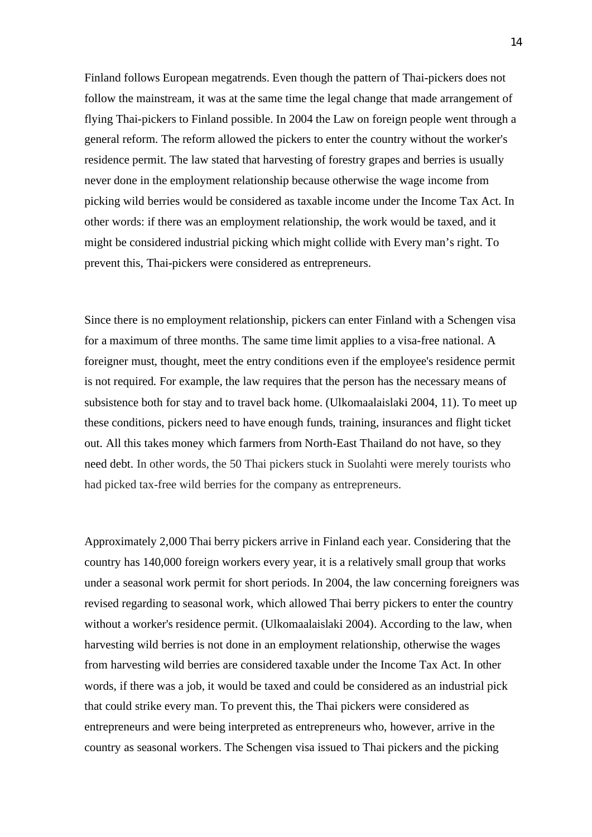Finland follows European megatrends. Even though the pattern of Thai-pickers does not follow the mainstream, it was at the same time the legal change that made arrangement of flying Thai-pickers to Finland possible. In 2004 the Law on foreign people went through a general reform. The reform allowed the pickers to enter the country without the worker's residence permit. The law stated that harvesting of forestry grapes and berries is usually never done in the employment relationship because otherwise the wage income from picking wild berries would be considered as taxable income under the Income Tax Act. In other words: if there was an employment relationship, the work would be taxed, and it might be considered industrial picking which might collide with Every man's right. To prevent this, Thai-pickers were considered as entrepreneurs.

Since there is no employment relationship, pickers can enter Finland with a Schengen visa for a maximum of three months. The same time limit applies to a visa-free national. A foreigner must, thought, meet the entry conditions even if the employee's residence permit is not required. For example, the law requires that the person has the necessary means of subsistence both for stay and to travel back home. (Ulkomaalaislaki 2004, 11). To meet up these conditions, pickers need to have enough funds, training, insurances and flight ticket out. All this takes money which farmers from North-East Thailand do not have, so they need debt. In other words, the 50 Thai pickers stuck in Suolahti were merely tourists who had picked tax-free wild berries for the company as entrepreneurs.

Approximately 2,000 Thai berry pickers arrive in Finland each year. Considering that the country has 140,000 foreign workers every year, it is a relatively small group that works under a seasonal work permit for short periods. In 2004, the law concerning foreigners was revised regarding to seasonal work, which allowed Thai berry pickers to enter the country without a worker's residence permit. (Ulkomaalaislaki 2004). According to the law, when harvesting wild berries is not done in an employment relationship, otherwise the wages from harvesting wild berries are considered taxable under the Income Tax Act. In other words, if there was a job, it would be taxed and could be considered as an industrial pick that could strike every man. To prevent this, the Thai pickers were considered as entrepreneurs and were being interpreted as entrepreneurs who, however, arrive in the country as seasonal workers. The Schengen visa issued to Thai pickers and the picking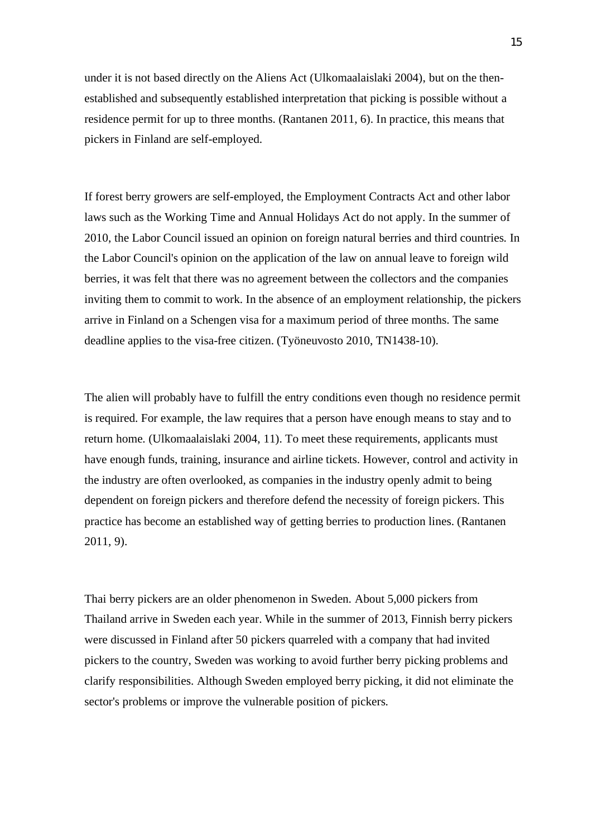under it is not based directly on the Aliens Act (Ulkomaalaislaki 2004), but on the thenestablished and subsequently established interpretation that picking is possible without a residence permit for up to three months. (Rantanen 2011, 6). In practice, this means that pickers in Finland are self-employed.

If forest berry growers are self-employed, the Employment Contracts Act and other labor laws such as the Working Time and Annual Holidays Act do not apply. In the summer of 2010, the Labor Council issued an opinion on foreign natural berries and third countries. In the Labor Council's opinion on the application of the law on annual leave to foreign wild berries, it was felt that there was no agreement between the collectors and the companies inviting them to commit to work. In the absence of an employment relationship, the pickers arrive in Finland on a Schengen visa for a maximum period of three months. The same deadline applies to the visa-free citizen. (Työneuvosto 2010, TN1438-10).

The alien will probably have to fulfill the entry conditions even though no residence permit is required. For example, the law requires that a person have enough means to stay and to return home. (Ulkomaalaislaki 2004, 11). To meet these requirements, applicants must have enough funds, training, insurance and airline tickets. However, control and activity in the industry are often overlooked, as companies in the industry openly admit to being dependent on foreign pickers and therefore defend the necessity of foreign pickers. This practice has become an established way of getting berries to production lines. (Rantanen 2011, 9).

Thai berry pickers are an older phenomenon in Sweden. About 5,000 pickers from Thailand arrive in Sweden each year. While in the summer of 2013, Finnish berry pickers were discussed in Finland after 50 pickers quarreled with a company that had invited pickers to the country, Sweden was working to avoid further berry picking problems and clarify responsibilities. Although Sweden employed berry picking, it did not eliminate the sector's problems or improve the vulnerable position of pickers.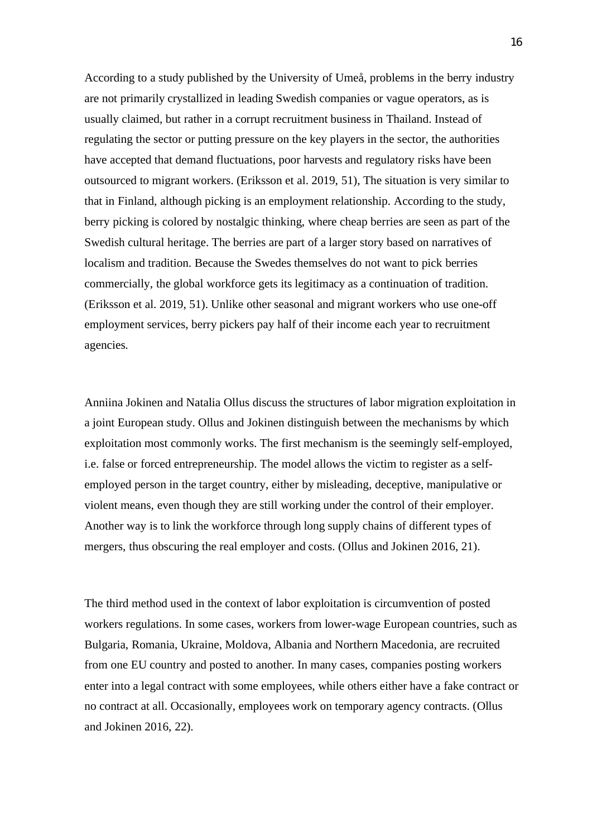According to a study published by the University of Umeå, problems in the berry industry are not primarily crystallized in leading Swedish companies or vague operators, as is usually claimed, but rather in a corrupt recruitment business in Thailand. Instead of regulating the sector or putting pressure on the key players in the sector, the authorities have accepted that demand fluctuations, poor harvests and regulatory risks have been outsourced to migrant workers. (Eriksson et al. 2019, 51), The situation is very similar to that in Finland, although picking is an employment relationship. According to the study, berry picking is colored by nostalgic thinking, where cheap berries are seen as part of the Swedish cultural heritage. The berries are part of a larger story based on narratives of localism and tradition. Because the Swedes themselves do not want to pick berries commercially, the global workforce gets its legitimacy as a continuation of tradition. (Eriksson et al. 2019, 51). Unlike other seasonal and migrant workers who use one-off employment services, berry pickers pay half of their income each year to recruitment agencies.

Anniina Jokinen and Natalia Ollus discuss the structures of labor migration exploitation in a joint European study. Ollus and Jokinen distinguish between the mechanisms by which exploitation most commonly works. The first mechanism is the seemingly self-employed, i.e. false or forced entrepreneurship. The model allows the victim to register as a selfemployed person in the target country, either by misleading, deceptive, manipulative or violent means, even though they are still working under the control of their employer. Another way is to link the workforce through long supply chains of different types of mergers, thus obscuring the real employer and costs. (Ollus and Jokinen 2016, 21).

The third method used in the context of labor exploitation is circumvention of posted workers regulations. In some cases, workers from lower-wage European countries, such as Bulgaria, Romania, Ukraine, Moldova, Albania and Northern Macedonia, are recruited from one EU country and posted to another. In many cases, companies posting workers enter into a legal contract with some employees, while others either have a fake contract or no contract at all. Occasionally, employees work on temporary agency contracts. (Ollus and Jokinen 2016, 22).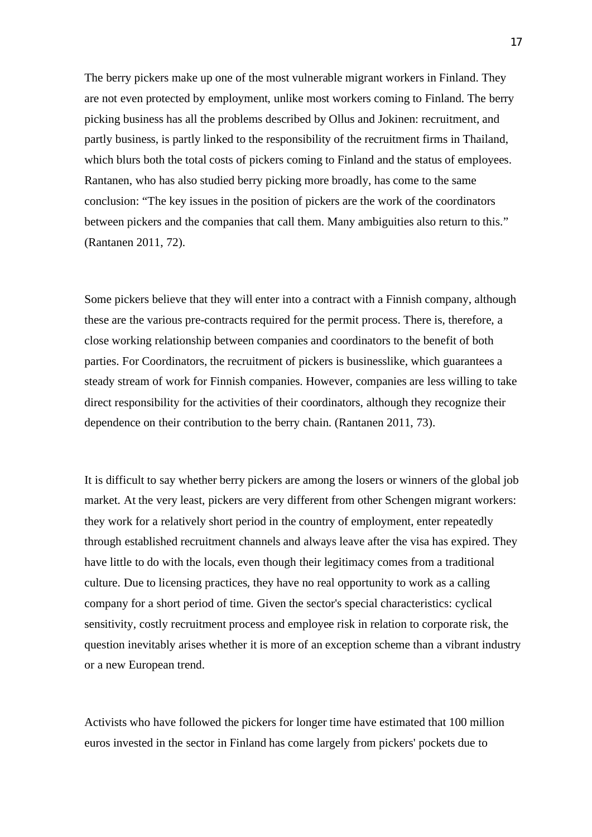The berry pickers make up one of the most vulnerable migrant workers in Finland. They are not even protected by employment, unlike most workers coming to Finland. The berry picking business has all the problems described by Ollus and Jokinen: recruitment, and partly business, is partly linked to the responsibility of the recruitment firms in Thailand, which blurs both the total costs of pickers coming to Finland and the status of employees. Rantanen, who has also studied berry picking more broadly, has come to the same conclusion: "The key issues in the position of pickers are the work of the coordinators between pickers and the companies that call them. Many ambiguities also return to this." (Rantanen 2011, 72).

Some pickers believe that they will enter into a contract with a Finnish company, although these are the various pre-contracts required for the permit process. There is, therefore, a close working relationship between companies and coordinators to the benefit of both parties. For Coordinators, the recruitment of pickers is businesslike, which guarantees a steady stream of work for Finnish companies. However, companies are less willing to take direct responsibility for the activities of their coordinators, although they recognize their dependence on their contribution to the berry chain. (Rantanen 2011, 73).

It is difficult to say whether berry pickers are among the losers or winners of the global job market. At the very least, pickers are very different from other Schengen migrant workers: they work for a relatively short period in the country of employment, enter repeatedly through established recruitment channels and always leave after the visa has expired. They have little to do with the locals, even though their legitimacy comes from a traditional culture. Due to licensing practices, they have no real opportunity to work as a calling company for a short period of time. Given the sector's special characteristics: cyclical sensitivity, costly recruitment process and employee risk in relation to corporate risk, the question inevitably arises whether it is more of an exception scheme than a vibrant industry or a new European trend.

Activists who have followed the pickers for longer time have estimated that 100 million euros invested in the sector in Finland has come largely from pickers' pockets due to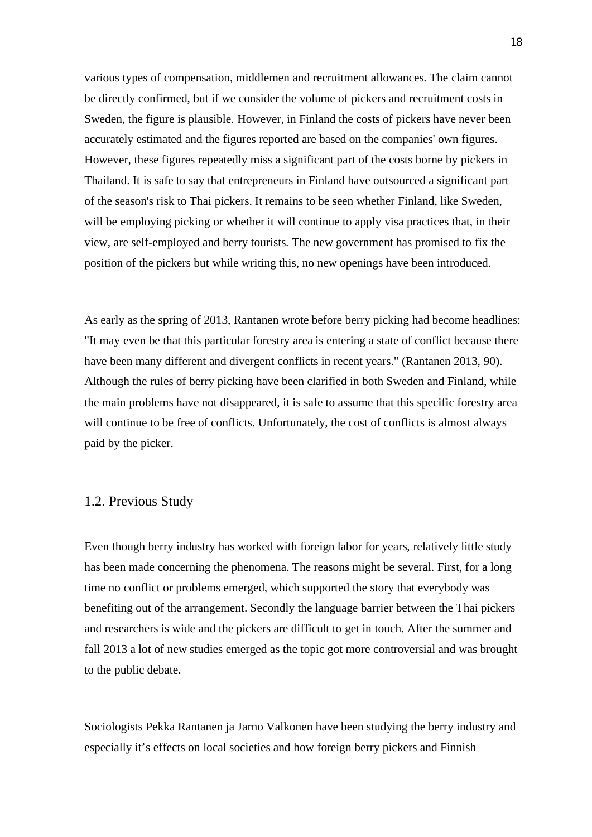various types of compensation, middlemen and recruitment allowances. The claim cannot be directly confirmed, but if we consider the volume of pickers and recruitment costs in Sweden, the figure is plausible. However, in Finland the costs of pickers have never been accurately estimated and the figures reported are based on the companies' own figures. However, these figures repeatedly miss a significant part of the costs borne by pickers in Thailand. It is safe to say that entrepreneurs in Finland have outsourced a significant part of the season's risk to Thai pickers. It remains to be seen whether Finland, like Sweden, will be employing picking or whether it will continue to apply visa practices that, in their view, are self-employed and berry tourists. The new government has promised to fix the position of the pickers but while writing this, no new openings have been introduced.

As early as the spring of 2013, Rantanen wrote before berry picking had become headlines: "It may even be that this particular forestry area is entering a state of conflict because there have been many different and divergent conflicts in recent years." (Rantanen 2013, 90). Although the rules of berry picking have been clarified in both Sweden and Finland, while the main problems have not disappeared, it is safe to assume that this specific forestry area will continue to be free of conflicts. Unfortunately, the cost of conflicts is almost always paid by the picker.

### 1.2. Previous Study

Even though berry industry has worked with foreign labor for years, relatively little study has been made concerning the phenomena. The reasons might be several. First, for a long time no conflict or problems emerged, which supported the story that everybody was benefiting out of the arrangement. Secondly the language barrier between the Thai pickers and researchers is wide and the pickers are difficult to get in touch. After the summer and fall 2013 a lot of new studies emerged as the topic got more controversial and was brought to the public debate.

Sociologists Pekka Rantanen ja Jarno Valkonen have been studying the berry industry and especially it's effects on local societies and how foreign berry pickers and Finnish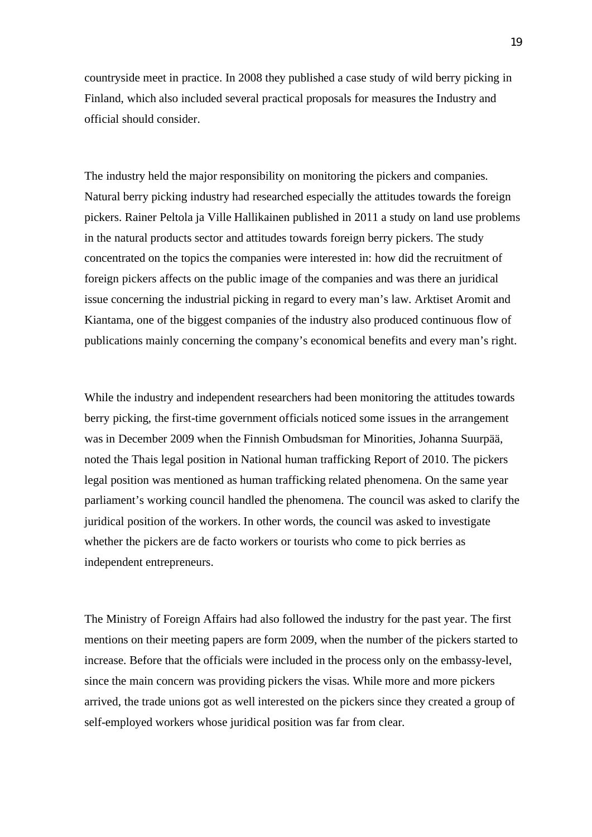countryside meet in practice. In 2008 they published a case study of wild berry picking in Finland, which also included several practical proposals for measures the Industry and official should consider.

The industry held the major responsibility on monitoring the pickers and companies. Natural berry picking industry had researched especially the attitudes towards the foreign pickers. Rainer Peltola ja Ville Hallikainen published in 2011 a study on land use problems in the natural products sector and attitudes towards foreign berry pickers. The study concentrated on the topics the companies were interested in: how did the recruitment of foreign pickers affects on the public image of the companies and was there an juridical issue concerning the industrial picking in regard to every man's law. Arktiset Aromit and Kiantama, one of the biggest companies of the industry also produced continuous flow of publications mainly concerning the company's economical benefits and every man's right.

While the industry and independent researchers had been monitoring the attitudes towards berry picking, the first-time government officials noticed some issues in the arrangement was in December 2009 when the Finnish Ombudsman for Minorities, Johanna Suurpää, noted the Thais legal position in National human trafficking Report of 2010. The pickers legal position was mentioned as human trafficking related phenomena. On the same year parliament's working council handled the phenomena. The council was asked to clarify the juridical position of the workers. In other words, the council was asked to investigate whether the pickers are de facto workers or tourists who come to pick berries as independent entrepreneurs.

The Ministry of Foreign Affairs had also followed the industry for the past year. The first mentions on their meeting papers are form 2009, when the number of the pickers started to increase. Before that the officials were included in the process only on the embassy-level, since the main concern was providing pickers the visas. While more and more pickers arrived, the trade unions got as well interested on the pickers since they created a group of self-employed workers whose juridical position was far from clear.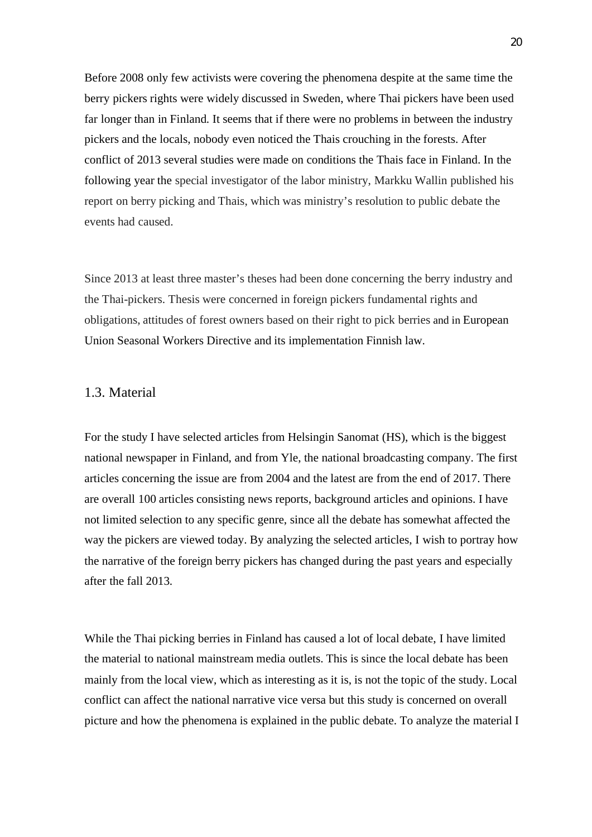Before 2008 only few activists were covering the phenomena despite at the same time the berry pickers rights were widely discussed in Sweden, where Thai pickers have been used far longer than in Finland. It seems that if there were no problems in between the industry pickers and the locals, nobody even noticed the Thais crouching in the forests. After conflict of 2013 several studies were made on conditions the Thais face in Finland. In the following year the special investigator of the labor ministry, Markku Wallin published his report on berry picking and Thais, which was ministry's resolution to public debate the events had caused.

Since 2013 at least three master's theses had been done concerning the berry industry and the Thai-pickers. Thesis were concerned in foreign pickers fundamental rights and obligations, attitudes of forest owners based on their right to pick berries and in European Union Seasonal Workers Directive and its implementation Finnish law.

### 1.3. Material

For the study I have selected articles from Helsingin Sanomat (HS), which is the biggest national newspaper in Finland, and from Yle, the national broadcasting company. The first articles concerning the issue are from 2004 and the latest are from the end of 2017. There are overall 100 articles consisting news reports, background articles and opinions. I have not limited selection to any specific genre, since all the debate has somewhat affected the way the pickers are viewed today. By analyzing the selected articles, I wish to portray how the narrative of the foreign berry pickers has changed during the past years and especially after the fall 2013.

While the Thai picking berries in Finland has caused a lot of local debate, I have limited the material to national mainstream media outlets. This is since the local debate has been mainly from the local view, which as interesting as it is, is not the topic of the study. Local conflict can affect the national narrative vice versa but this study is concerned on overall picture and how the phenomena is explained in the public debate. To analyze the material I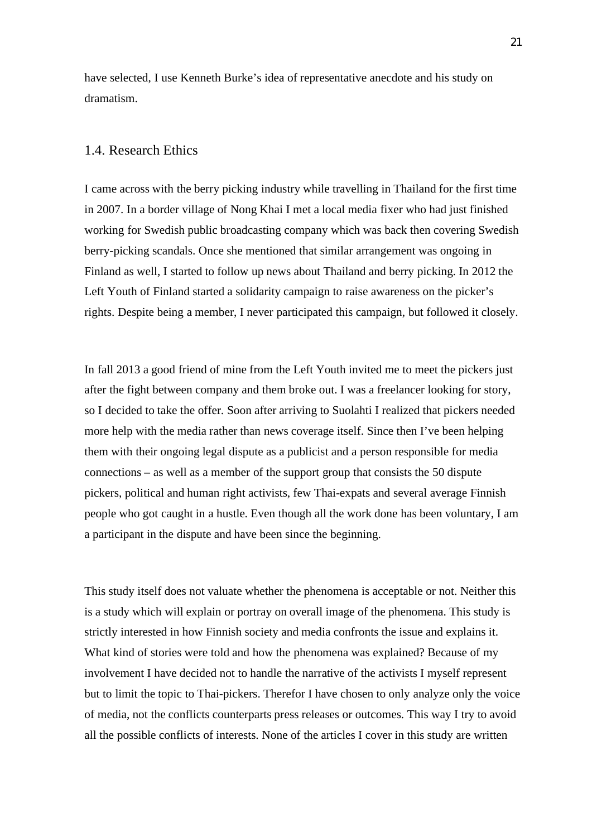have selected, I use Kenneth Burke's idea of representative anecdote and his study on dramatism.

### 1.4. Research Ethics

I came across with the berry picking industry while travelling in Thailand for the first time in 2007. In a border village of Nong Khai I met a local media fixer who had just finished working for Swedish public broadcasting company which was back then covering Swedish berry-picking scandals. Once she mentioned that similar arrangement was ongoing in Finland as well, I started to follow up news about Thailand and berry picking. In 2012 the Left Youth of Finland started a solidarity campaign to raise awareness on the picker's rights. Despite being a member, I never participated this campaign, but followed it closely.

In fall 2013 a good friend of mine from the Left Youth invited me to meet the pickers just after the fight between company and them broke out. I was a freelancer looking for story, so I decided to take the offer. Soon after arriving to Suolahti I realized that pickers needed more help with the media rather than news coverage itself. Since then I've been helping them with their ongoing legal dispute as a publicist and a person responsible for media connections – as well as a member of the support group that consists the 50 dispute pickers, political and human right activists, few Thai-expats and several average Finnish people who got caught in a hustle. Even though all the work done has been voluntary, I am a participant in the dispute and have been since the beginning.

This study itself does not valuate whether the phenomena is acceptable or not. Neither this is a study which will explain or portray on overall image of the phenomena. This study is strictly interested in how Finnish society and media confronts the issue and explains it. What kind of stories were told and how the phenomena was explained? Because of my involvement I have decided not to handle the narrative of the activists I myself represent but to limit the topic to Thai-pickers. Therefor I have chosen to only analyze only the voice of media, not the conflicts counterparts press releases or outcomes. This way I try to avoid all the possible conflicts of interests. None of the articles I cover in this study are written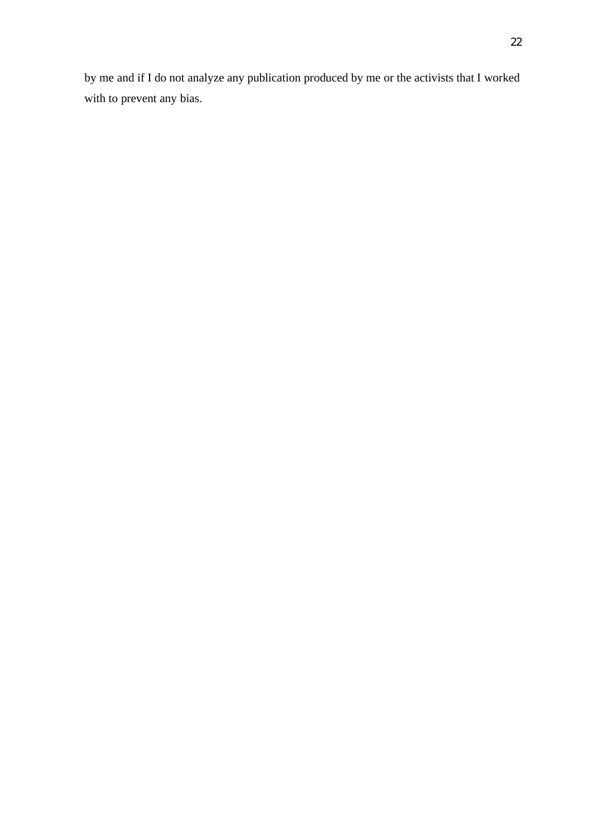by me and if I do not analyze any publication produced by me or the activists that I worked with to prevent any bias.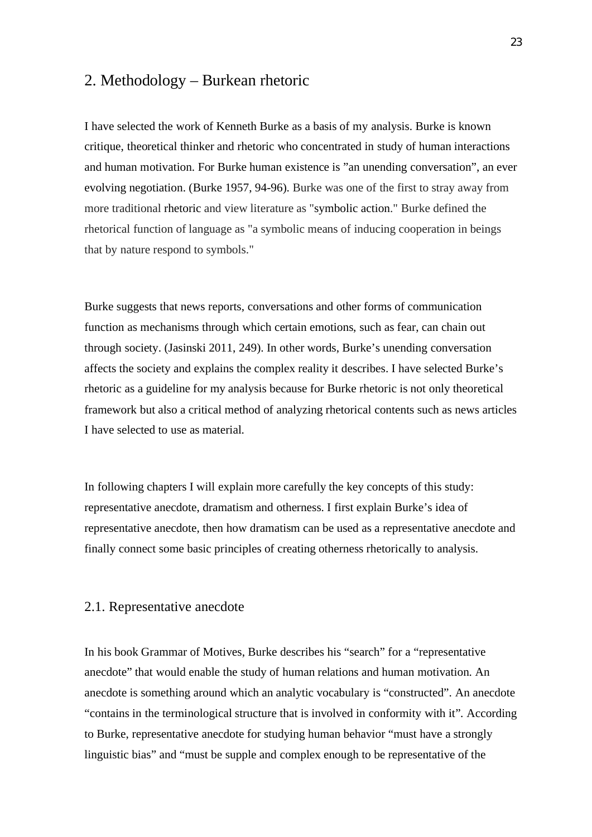# 2. Methodology – Burkean rhetoric

I have selected the work of Kenneth Burke as a basis of my analysis. Burke is known critique, theoretical thinker and rhetoric who concentrated in study of human interactions and human motivation. For Burke human existence is "an unending conversation", an ever evolving negotiation. (Burke 1957, 94-96). Burke was one of the first to stray away from more traditional rhetoric and view literature as "symbolic action." Burke defined the rhetorical function of language as "a symbolic means of inducing cooperation in beings that by nature respond to symbols."

Burke suggests that news reports, conversations and other forms of communication function as mechanisms through which certain emotions, such as fear, can chain out through society. (Jasinski 2011, 249). In other words, Burke's unending conversation affects the society and explains the complex reality it describes. I have selected Burke's rhetoric as a guideline for my analysis because for Burke rhetoric is not only theoretical framework but also a critical method of analyzing rhetorical contents such as news articles I have selected to use as material.

In following chapters I will explain more carefully the key concepts of this study: representative anecdote, dramatism and otherness. I first explain Burke's idea of representative anecdote, then how dramatism can be used as a representative anecdote and finally connect some basic principles of creating otherness rhetorically to analysis.

### 2.1. Representative anecdote

In his book Grammar of Motives, Burke describes his "search" for a "representative anecdote" that would enable the study of human relations and human motivation. An anecdote is something around which an analytic vocabulary is "constructed". An anecdote "contains in the terminological structure that is involved in conformity with it". According to Burke, representative anecdote for studying human behavior "must have a strongly linguistic bias" and "must be supple and complex enough to be representative of the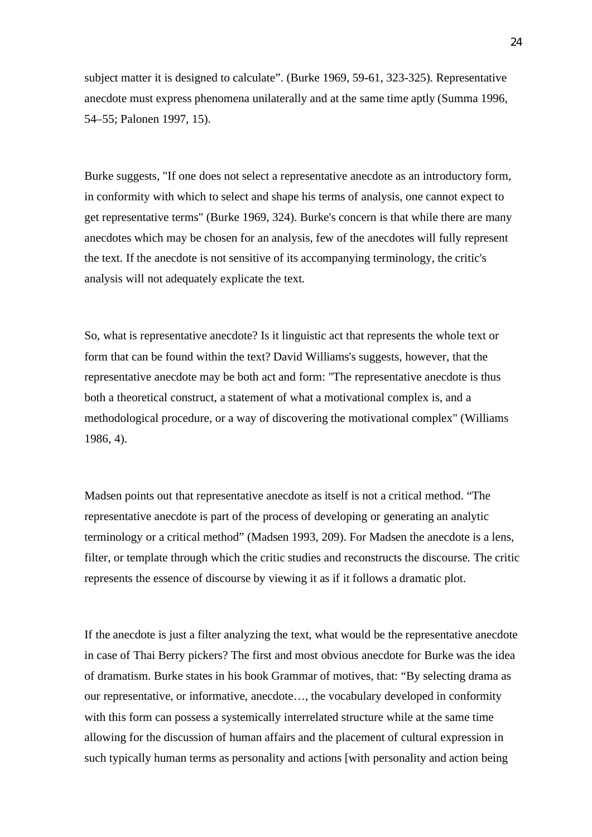subject matter it is designed to calculate". (Burke 1969, 59-61, 323-325). Representative anecdote must express phenomena unilaterally and at the same time aptly (Summa 1996, 54–55; Palonen 1997, 15).

Burke suggests, "If one does not select a representative anecdote as an introductory form, in conformity with which to select and shape his terms of analysis, one cannot expect to get representative terms" (Burke 1969, 324). Burke's concern is that while there are many anecdotes which may be chosen for an analysis, few of the anecdotes will fully represent the text. If the anecdote is not sensitive of its accompanying terminology, the critic's analysis will not adequately explicate the text.

So, what is representative anecdote? Is it linguistic act that represents the whole text or form that can be found within the text? David Williams's suggests, however, that the representative anecdote may be both act and form: "The representative anecdote is thus both a theoretical construct, a statement of what a motivational complex is, and a methodological procedure, or a way of discovering the motivational complex" (Williams 1986, 4).

Madsen points out that representative anecdote as itself is not a critical method. "The representative anecdote is part of the process of developing or generating an analytic terminology or a critical method" (Madsen 1993, 209). For Madsen the anecdote is a lens, filter, or template through which the critic studies and reconstructs the discourse. The critic represents the essence of discourse by viewing it as if it follows a dramatic plot.

If the anecdote is just a filter analyzing the text, what would be the representative anecdote in case of Thai Berry pickers? The first and most obvious anecdote for Burke was the idea of dramatism. Burke states in his book Grammar of motives, that: "By selecting drama as our representative, or informative, anecdote…, the vocabulary developed in conformity with this form can possess a systemically interrelated structure while at the same time allowing for the discussion of human affairs and the placement of cultural expression in such typically human terms as personality and actions [with personality and action being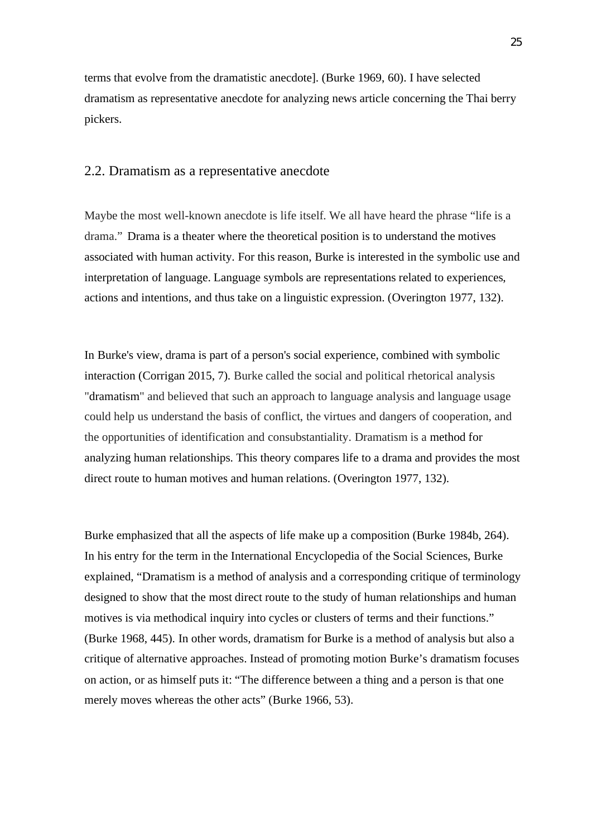terms that evolve from the dramatistic anecdote]. (Burke 1969, 60). I have selected dramatism as representative anecdote for analyzing news article concerning the Thai berry pickers.

### 2.2. Dramatism as a representative anecdote

Maybe the most well-known anecdote is life itself. We all have heard the phrase "life is a drama." Drama is a theater where the theoretical position is to understand the motives associated with human activity. For this reason, Burke is interested in the symbolic use and interpretation of language. Language symbols are representations related to experiences, actions and intentions, and thus take on a linguistic expression. (Overington 1977, 132).

In Burke's view, drama is part of a person's social experience, combined with symbolic interaction (Corrigan 2015, 7). Burke called the social and political rhetorical analysis "dramatism" and believed that such an approach to language analysis and language usage could help us understand the basis of conflict, the virtues and dangers of cooperation, and the opportunities of identification and consubstantiality. Dramatism is a method for analyzing human relationships. This theory compares life to a drama and provides the most direct route to human motives and human relations. (Overington 1977, 132).

Burke emphasized that all the aspects of life make up a composition (Burke 1984b, 264). In his entry for the term in the International Encyclopedia of the Social Sciences, Burke explained, "Dramatism is a method of analysis and a corresponding critique of terminology designed to show that the most direct route to the study of human relationships and human motives is via methodical inquiry into cycles or clusters of terms and their functions." (Burke 1968, 445). In other words, dramatism for Burke is a method of analysis but also a critique of alternative approaches. Instead of promoting motion Burke's dramatism focuses on action, or as himself puts it: "The difference between a thing and a person is that one merely moves whereas the other acts" (Burke 1966, 53).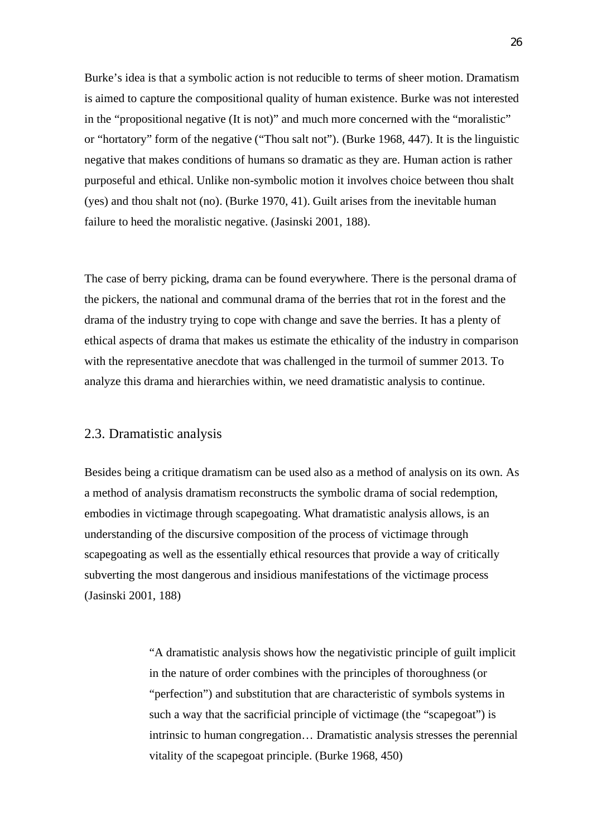Burke's idea is that a symbolic action is not reducible to terms of sheer motion. Dramatism is aimed to capture the compositional quality of human existence. Burke was not interested in the "propositional negative (It is not)" and much more concerned with the "moralistic" or "hortatory" form of the negative ("Thou salt not"). (Burke 1968, 447). It is the linguistic negative that makes conditions of humans so dramatic as they are. Human action is rather purposeful and ethical. Unlike non-symbolic motion it involves choice between thou shalt (yes) and thou shalt not (no). (Burke 1970, 41). Guilt arises from the inevitable human failure to heed the moralistic negative. (Jasinski 2001, 188).

The case of berry picking, drama can be found everywhere. There is the personal drama of the pickers, the national and communal drama of the berries that rot in the forest and the drama of the industry trying to cope with change and save the berries. It has a plenty of ethical aspects of drama that makes us estimate the ethicality of the industry in comparison with the representative anecdote that was challenged in the turmoil of summer 2013. To analyze this drama and hierarchies within, we need dramatistic analysis to continue.

### 2.3. Dramatistic analysis

Besides being a critique dramatism can be used also as a method of analysis on its own. As a method of analysis dramatism reconstructs the symbolic drama of social redemption, embodies in victimage through scapegoating. What dramatistic analysis allows, is an understanding of the discursive composition of the process of victimage through scapegoating as well as the essentially ethical resources that provide a way of critically subverting the most dangerous and insidious manifestations of the victimage process (Jasinski 2001, 188)

> "A dramatistic analysis shows how the negativistic principle of guilt implicit in the nature of order combines with the principles of thoroughness (or "perfection") and substitution that are characteristic of symbols systems in such a way that the sacrificial principle of victimage (the "scapegoat") is intrinsic to human congregation… Dramatistic analysis stresses the perennial vitality of the scapegoat principle. (Burke 1968, 450)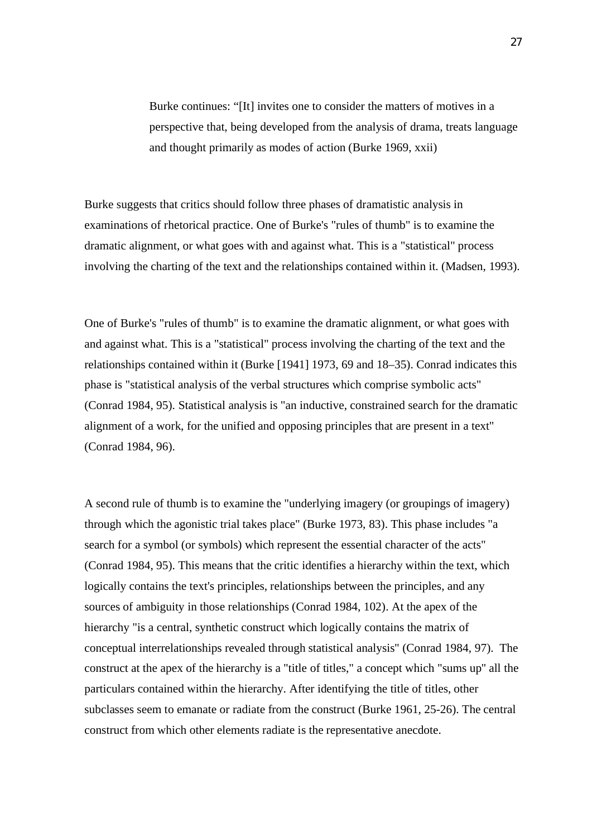Burke continues: "[It] invites one to consider the matters of motives in a perspective that, being developed from the analysis of drama, treats language and thought primarily as modes of action (Burke 1969, xxii)

Burke suggests that critics should follow three phases of dramatistic analysis in examinations of rhetorical practice. One of Burke's "rules of thumb" is to examine the dramatic alignment, or what goes with and against what. This is a "statistical" process involving the charting of the text and the relationships contained within it. (Madsen, 1993).

One of Burke's "rules of thumb" is to examine the dramatic alignment, or what goes with and against what. This is a "statistical" process involving the charting of the text and the relationships contained within it (Burke [1941] 1973, 69 and 18–35). Conrad indicates this phase is "statistical analysis of the verbal structures which comprise symbolic acts" (Conrad 1984, 95). Statistical analysis is "an inductive, constrained search for the dramatic alignment of a work, for the unified and opposing principles that are present in a text" (Conrad 1984, 96).

A second rule of thumb is to examine the "underlying imagery (or groupings of imagery) through which the agonistic trial takes place" (Burke 1973, 83). This phase includes "a search for a symbol (or symbols) which represent the essential character of the acts" (Conrad 1984, 95). This means that the critic identifies a hierarchy within the text, which logically contains the text's principles, relationships between the principles, and any sources of ambiguity in those relationships (Conrad 1984, 102). At the apex of the hierarchy "is a central, synthetic construct which logically contains the matrix of conceptual interrelationships revealed through statistical analysis" (Conrad 1984, 97). The construct at the apex of the hierarchy is a "title of titles," a concept which "sums up'' all the particulars contained within the hierarchy. After identifying the title of titles, other subclasses seem to emanate or radiate from the construct (Burke 1961, 25-26). The central construct from which other elements radiate is the representative anecdote.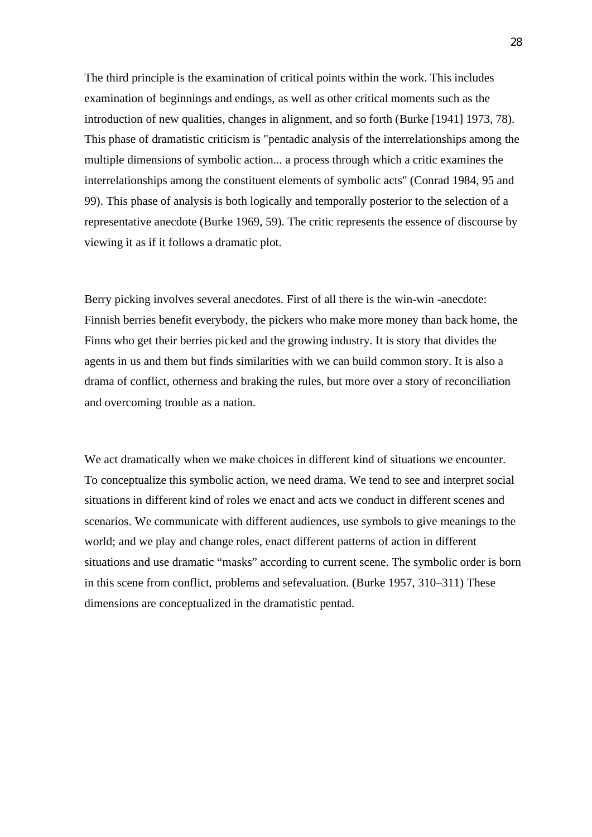The third principle is the examination of critical points within the work. This includes examination of beginnings and endings, as well as other critical moments such as the introduction of new qualities, changes in alignment, and so forth (Burke [1941] 1973, 78). This phase of dramatistic criticism is "pentadic analysis of the interrelationships among the multiple dimensions of symbolic action... a process through which a critic examines the interrelationships among the constituent elements of symbolic acts" (Conrad 1984, 95 and 99). This phase of analysis is both logically and temporally posterior to the selection of a representative anecdote (Burke 1969, 59). The critic represents the essence of discourse by viewing it as if it follows a dramatic plot.

Berry picking involves several anecdotes. First of all there is the win-win -anecdote: Finnish berries benefit everybody, the pickers who make more money than back home, the Finns who get their berries picked and the growing industry. It is story that divides the agents in us and them but finds similarities with we can build common story. It is also a drama of conflict, otherness and braking the rules, but more over a story of reconciliation and overcoming trouble as a nation.

We act dramatically when we make choices in different kind of situations we encounter. To conceptualize this symbolic action, we need drama. We tend to see and interpret social situations in different kind of roles we enact and acts we conduct in different scenes and scenarios. We communicate with different audiences, use symbols to give meanings to the world; and we play and change roles, enact different patterns of action in different situations and use dramatic "masks" according to current scene. The symbolic order is born in this scene from conflict, problems and sefevaluation. (Burke 1957, 310–311) These dimensions are conceptualized in the dramatistic pentad.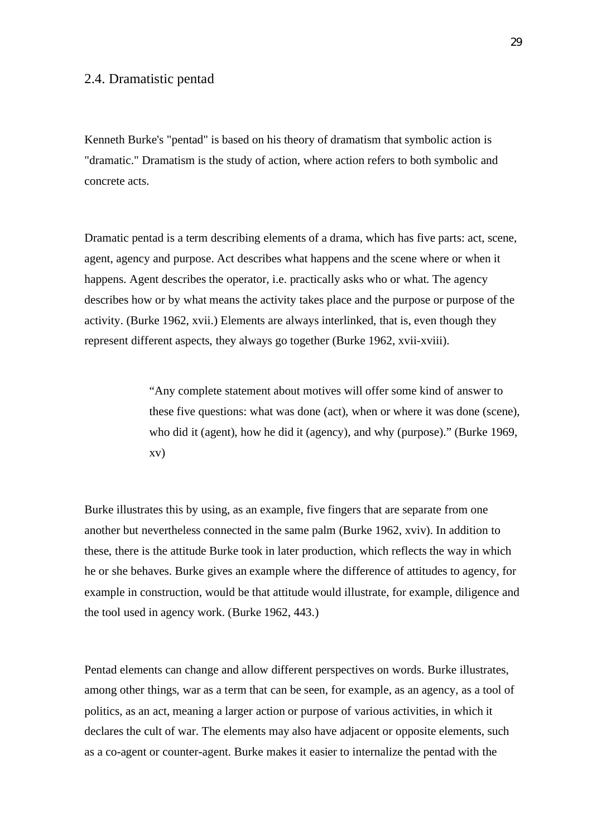### 2.4. Dramatistic pentad

Kenneth Burke's "pentad" is based on his theory of dramatism that symbolic action is "dramatic." Dramatism is the study of action, where action refers to both symbolic and concrete acts.

Dramatic pentad is a term describing elements of a drama, which has five parts: act, scene, agent, agency and purpose. Act describes what happens and the scene where or when it happens. Agent describes the operator, i.e. practically asks who or what. The agency describes how or by what means the activity takes place and the purpose or purpose of the activity. (Burke 1962, xvii.) Elements are always interlinked, that is, even though they represent different aspects, they always go together (Burke 1962, xvii-xviii).

> "Any complete statement about motives will offer some kind of answer to these five questions: what was done (act), when or where it was done (scene), who did it (agent), how he did it (agency), and why (purpose)." (Burke 1969, xv)

Burke illustrates this by using, as an example, five fingers that are separate from one another but nevertheless connected in the same palm (Burke 1962, xviv). In addition to these, there is the attitude Burke took in later production, which reflects the way in which he or she behaves. Burke gives an example where the difference of attitudes to agency, for example in construction, would be that attitude would illustrate, for example, diligence and the tool used in agency work. (Burke 1962, 443.)

Pentad elements can change and allow different perspectives on words. Burke illustrates, among other things, war as a term that can be seen, for example, as an agency, as a tool of politics, as an act, meaning a larger action or purpose of various activities, in which it declares the cult of war. The elements may also have adjacent or opposite elements, such as a co-agent or counter-agent. Burke makes it easier to internalize the pentad with the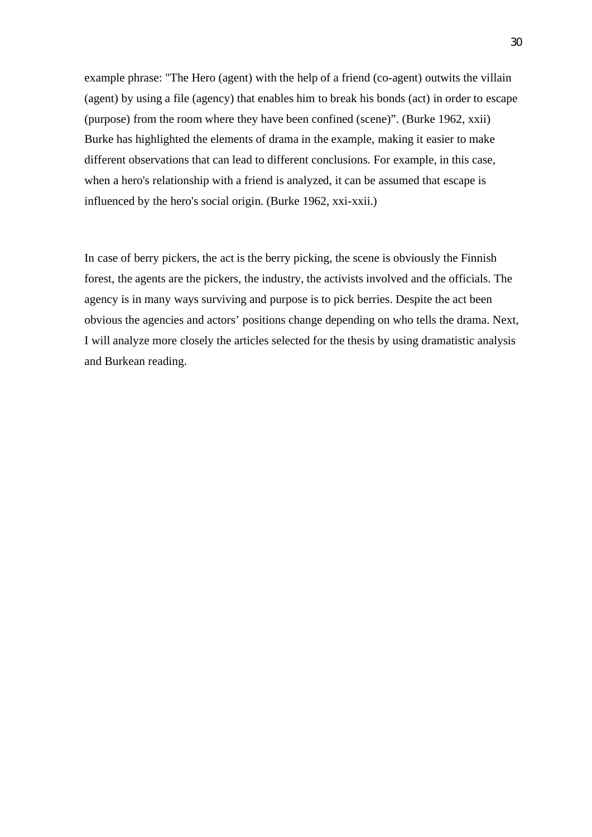example phrase: "The Hero (agent) with the help of a friend (co-agent) outwits the villain (agent) by using a file (agency) that enables him to break his bonds (act) in order to escape (purpose) from the room where they have been confined (scene)". (Burke 1962, xxii) Burke has highlighted the elements of drama in the example, making it easier to make different observations that can lead to different conclusions. For example, in this case, when a hero's relationship with a friend is analyzed, it can be assumed that escape is influenced by the hero's social origin. (Burke 1962, xxi-xxii.)

In case of berry pickers, the act is the berry picking, the scene is obviously the Finnish forest, the agents are the pickers, the industry, the activists involved and the officials. The agency is in many ways surviving and purpose is to pick berries. Despite the act been obvious the agencies and actors' positions change depending on who tells the drama. Next, I will analyze more closely the articles selected for the thesis by using dramatistic analysis and Burkean reading.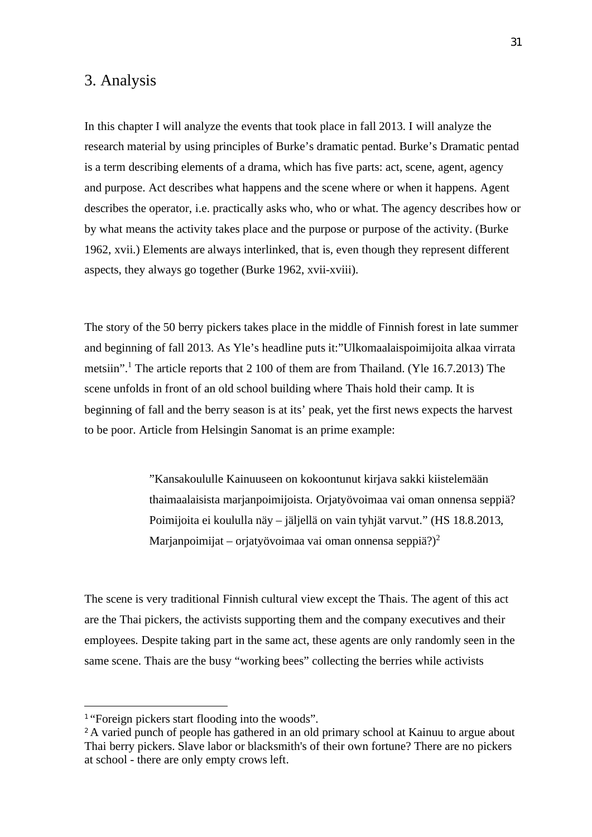## 3. Analysis

In this chapter I will analyze the events that took place in fall 2013. I will analyze the research material by using principles of Burke's dramatic pentad. Burke's Dramatic pentad is a term describing elements of a drama, which has five parts: act, scene, agent, agency and purpose. Act describes what happens and the scene where or when it happens. Agent describes the operator, i.e. practically asks who, who or what. The agency describes how or by what means the activity takes place and the purpose or purpose of the activity. (Burke 1962, xvii.) Elements are always interlinked, that is, even though they represent different aspects, they always go together (Burke 1962, xvii-xviii).

The story of the 50 berry pickers takes place in the middle of Finnish forest in late summer and beginning of fall 2013. As Yle's headline puts it:"Ulkomaalaispoimijoita alkaa virrata metsiin".<sup>1</sup> The article reports that 2 100 of them are from Thailand. (Yle 16.7.2013) The scene unfolds in front of an old school building where Thais hold their camp. It is beginning of fall and the berry season is at its' peak, yet the first news expects the harvest to be poor. Article from Helsingin Sanomat is an prime example:

> "Kansakoululle Kainuuseen on kokoontunut kirjava sakki kiistelemään thaimaalaisista marjanpoimijoista. Orjatyövoimaa vai oman onnensa seppiä? Poimijoita ei koululla näy – jäljellä on vain tyhjät varvut." (HS 18.8.2013, Marjanpoimijat – orjatyövoimaa vai oman onnensa seppiä?)<sup>2</sup>

The scene is very traditional Finnish cultural view except the Thais. The agent of this act are the Thai pickers, the activists supporting them and the company executives and their employees. Despite taking part in the same act, these agents are only randomly seen in the same scene. Thais are the busy "working bees" collecting the berries while activists

<sup>&</sup>lt;sup>1</sup> "Foreign pickers start flooding into the woods".

<sup>&</sup>lt;sup>2</sup> A varied punch of people has gathered in an old primary school at Kainuu to argue about Thai berry pickers. Slave labor or blacksmith's of their own fortune? There are no pickers at school - there are only empty crows left.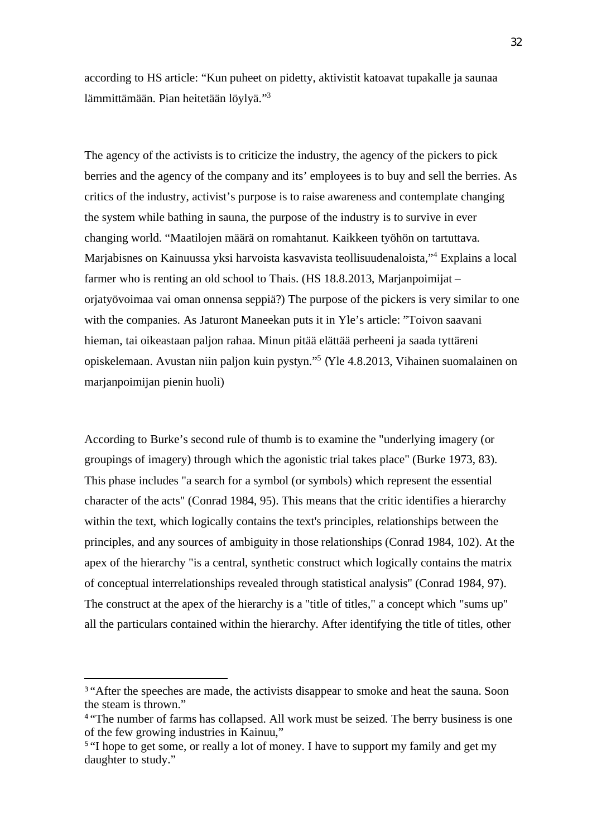according to HS article: "Kun puheet on pidetty, aktivistit katoavat tupakalle ja saunaa lämmittämään. Pian heitetään löylyä."<sup>3</sup>

The agency of the activists is to criticize the industry, the agency of the pickers to pick berries and the agency of the company and its' employees is to buy and sell the berries. As critics of the industry, activist's purpose is to raise awareness and contemplate changing the system while bathing in sauna, the purpose of the industry is to survive in ever changing world. "Maatilojen määrä on romahtanut. Kaikkeen työhön on tartuttava. Marjabisnes on Kainuussa yksi harvoista kasvavista teollisuudenaloista,"<sup>4</sup> Explains a local farmer who is renting an old school to Thais. (HS 18.8.2013, Marjanpoimijat – orjatyövoimaa vai oman onnensa seppiä?) The purpose of the pickers is very similar to one with the companies. As Jaturont Maneekan puts it in Yle's article: "Toivon saavani hieman, tai oikeastaan paljon rahaa. Minun pitää elättää perheeni ja saada tyttäreni opiskelemaan. Avustan niin paljon kuin pystyn."<sup>5</sup> (Yle 4.8.2013, Vihainen suomalainen on marjanpoimijan pienin huoli)

According to Burke's second rule of thumb is to examine the "underlying imagery (or groupings of imagery) through which the agonistic trial takes place" (Burke 1973, 83). This phase includes "a search for a symbol (or symbols) which represent the essential character of the acts" (Conrad 1984, 95). This means that the critic identifies a hierarchy within the text, which logically contains the text's principles, relationships between the principles, and any sources of ambiguity in those relationships (Conrad 1984, 102). At the apex of the hierarchy "is a central, synthetic construct which logically contains the matrix of conceptual interrelationships revealed through statistical analysis" (Conrad 1984, 97). The construct at the apex of the hierarchy is a "title of titles," a concept which "sums up'' all the particulars contained within the hierarchy. After identifying the title of titles, other

<sup>&</sup>lt;sup>3</sup> "After the speeches are made, the activists disappear to smoke and heat the sauna. Soon the steam is thrown."

<sup>&</sup>lt;sup>4</sup> "The number of farms has collapsed. All work must be seized. The berry business is one of the few growing industries in Kainuu,"

<sup>&</sup>lt;sup>5</sup> "I hope to get some, or really a lot of money. I have to support my family and get my daughter to study."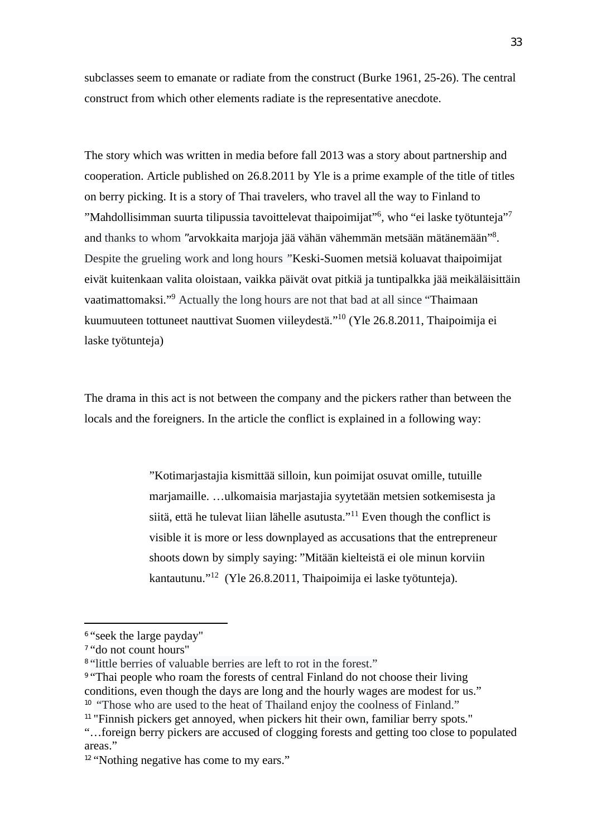subclasses seem to emanate or radiate from the construct (Burke 1961, 25-26). The central construct from which other elements radiate is the representative anecdote.

The story which was written in media before fall 2013 was a story about partnership and cooperation. Article published on 26.8.2011 by Yle is a prime example of the title of titles on berry picking. It is a story of Thai travelers, who travel all the way to Finland to "Mahdollisimman suurta tilipussia tavoittelevat thaipoimijat"<sup>6</sup>, who "ei laske työtunteja"<sup>7</sup> and thanks to whom "arvokkaita marjoja jää vähän vähemmän metsään mätänemään"<sup>8</sup> . Despite the grueling work and long hours *"*Keski-Suomen metsiä koluavat thaipoimijat eivät kuitenkaan valita oloistaan, vaikka päivät ovat pitkiä ja tuntipalkka jää meikäläisittäin vaatimattomaksi."<sup>9</sup> Actually the long hours are not that bad at all since "Thaimaan kuumuuteen tottuneet nauttivat Suomen viileydestä."<sup>10</sup> (Yle 26.8.2011, Thaipoimija ei laske työtunteja)

The drama in this act is not between the company and the pickers rather than between the locals and the foreigners. In the article the conflict is explained in a following way:

> "Kotimarjastajia kismittää silloin, kun poimijat osuvat omille, tutuille marjamaille. …ulkomaisia marjastajia syytetään metsien sotkemisesta ja siitä, että he tulevat liian lähelle asutusta."<sup>11</sup> Even though the conflict is visible it is more or less downplayed as accusations that the entrepreneur shoots down by simply saying: "Mitään kielteistä ei ole minun korviin kantautunu."<sup>12</sup> (Yle 26.8.2011, Thaipoimija ei laske työtunteja).

<sup>6</sup> "seek the large payday"

<sup>7</sup> "do not count hours"

<sup>&</sup>lt;sup>8</sup> "little berries of valuable berries are left to rot in the forest."

<sup>9</sup> "Thai people who roam the forests of central Finland do not choose their living conditions, even though the days are long and the hourly wages are modest for us."

<sup>&</sup>lt;sup>10</sup> "Those who are used to the heat of Thailand enjoy the coolness of Finland."

<sup>&</sup>lt;sup>11</sup> "Finnish pickers get annoyed, when pickers hit their own, familiar berry spots."

<sup>&</sup>quot;…foreign berry pickers are accused of clogging forests and getting too close to populated areas."

<sup>&</sup>lt;sup>12</sup> "Nothing negative has come to my ears."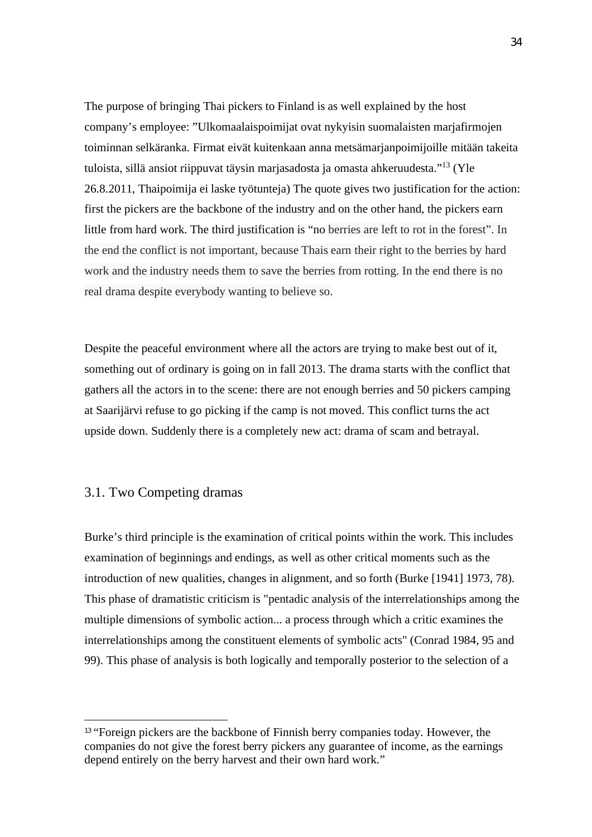The purpose of bringing Thai pickers to Finland is as well explained by the host company's employee: "Ulkomaalaispoimijat ovat nykyisin suomalaisten marjafirmojen toiminnan selkäranka. Firmat eivät kuitenkaan anna metsämarjanpoimijoille mitään takeita tuloista, sillä ansiot riippuvat täysin marjasadosta ja omasta ahkeruudesta."<sup>13</sup> (Yle 26.8.2011, Thaipoimija ei laske työtunteja) The quote gives two justification for the action: first the pickers are the backbone of the industry and on the other hand, the pickers earn little from hard work. The third justification is "no berries are left to rot in the forest". In the end the conflict is not important, because Thais earn their right to the berries by hard work and the industry needs them to save the berries from rotting. In the end there is no real drama despite everybody wanting to believe so.

Despite the peaceful environment where all the actors are trying to make best out of it, something out of ordinary is going on in fall 2013. The drama starts with the conflict that gathers all the actors in to the scene: there are not enough berries and 50 pickers camping at Saarijärvi refuse to go picking if the camp is not moved. This conflict turns the act upside down. Suddenly there is a completely new act: drama of scam and betrayal.

### 3.1. Two Competing dramas

Burke's third principle is the examination of critical points within the work. This includes examination of beginnings and endings, as well as other critical moments such as the introduction of new qualities, changes in alignment, and so forth (Burke [1941] 1973, 78). This phase of dramatistic criticism is "pentadic analysis of the interrelationships among the multiple dimensions of symbolic action... a process through which a critic examines the interrelationships among the constituent elements of symbolic acts" (Conrad 1984, 95 and 99). This phase of analysis is both logically and temporally posterior to the selection of a

<sup>&</sup>lt;sup>13</sup> "Foreign pickers are the backbone of Finnish berry companies today. However, the companies do not give the forest berry pickers any guarantee of income, as the earnings depend entirely on the berry harvest and their own hard work."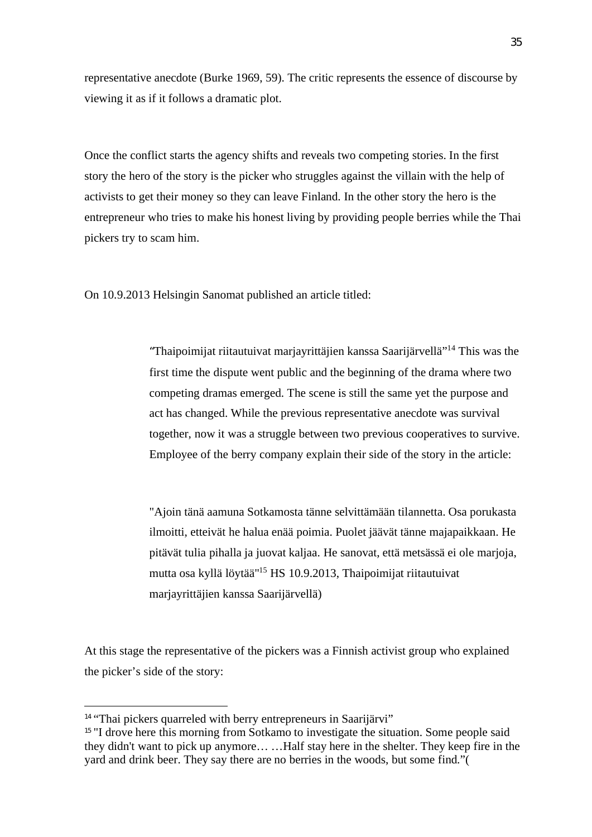representative anecdote (Burke 1969, 59). The critic represents the essence of discourse by viewing it as if it follows a dramatic plot.

Once the conflict starts the agency shifts and reveals two competing stories. In the first story the hero of the story is the picker who struggles against the villain with the help of activists to get their money so they can leave Finland. In the other story the hero is the entrepreneur who tries to make his honest living by providing people berries while the Thai pickers try to scam him.

On 10.9.2013 Helsingin Sanomat published an article titled:

"Thaipoimijat riitautuivat marjayrittäjien kanssa Saarijärvellä"<sup>14</sup> This was the first time the dispute went public and the beginning of the drama where two competing dramas emerged. The scene is still the same yet the purpose and act has changed. While the previous representative anecdote was survival together, now it was a struggle between two previous cooperatives to survive. Employee of the berry company explain their side of the story in the article:

"Ajoin tänä aamuna Sotkamosta tänne selvittämään tilannetta. Osa porukasta ilmoitti, etteivät he halua enää poimia. Puolet jäävät tänne majapaikkaan. He pitävät tulia pihalla ja juovat kaljaa. He sanovat, että metsässä ei ole marjoja, mutta osa kyllä löytää"<sup>15</sup> HS 10.9.2013, Thaipoimijat riitautuivat marjayrittäjien kanssa Saarijärvellä)

At this stage the representative of the pickers was a Finnish activist group who explained the picker's side of the story:

<sup>&</sup>lt;sup>14</sup> "Thai pickers quarreled with berry entrepreneurs in Saarijärvi"

<sup>&</sup>lt;sup>15</sup> "I drove here this morning from Sotkamo to investigate the situation. Some people said they didn't want to pick up anymore… …Half stay here in the shelter. They keep fire in the yard and drink beer. They say there are no berries in the woods, but some find."(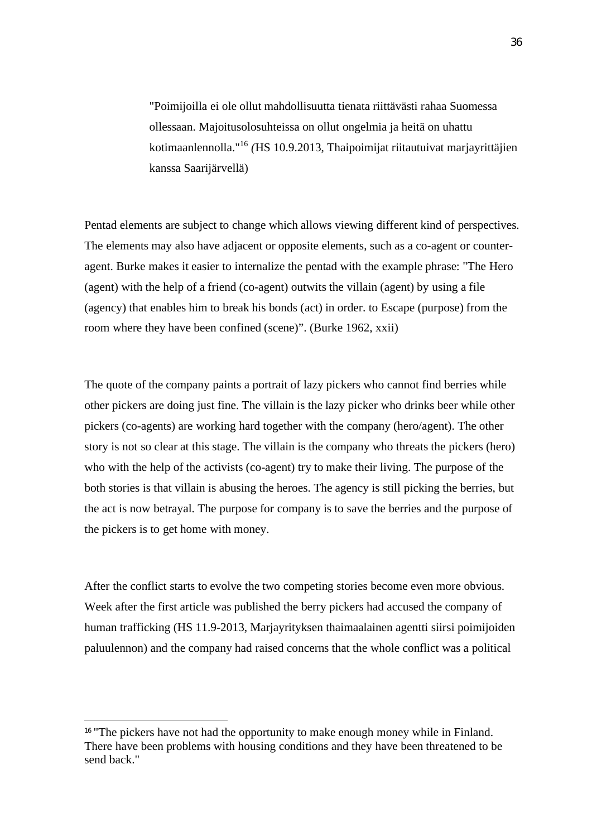"Poimijoilla ei ole ollut mahdollisuutta tienata riittävästi rahaa Suomessa ollessaan. Majoitusolosuhteissa on ollut ongelmia ja heitä on uhattu kotimaanlennolla."<sup>16</sup> *(*HS 10.9.2013, Thaipoimijat riitautuivat marjayrittäjien kanssa Saarijärvellä)

Pentad elements are subject to change which allows viewing different kind of perspectives. The elements may also have adjacent or opposite elements, such as a co-agent or counteragent. Burke makes it easier to internalize the pentad with the example phrase: "The Hero (agent) with the help of a friend (co-agent) outwits the villain (agent) by using a file (agency) that enables him to break his bonds (act) in order. to Escape (purpose) from the room where they have been confined (scene)". (Burke 1962, xxii)

The quote of the company paints a portrait of lazy pickers who cannot find berries while other pickers are doing just fine. The villain is the lazy picker who drinks beer while other pickers (co-agents) are working hard together with the company (hero/agent). The other story is not so clear at this stage. The villain is the company who threats the pickers (hero) who with the help of the activists (co-agent) try to make their living. The purpose of the both stories is that villain is abusing the heroes. The agency is still picking the berries, but the act is now betrayal. The purpose for company is to save the berries and the purpose of the pickers is to get home with money.

After the conflict starts to evolve the two competing stories become even more obvious. Week after the first article was published the berry pickers had accused the company of human trafficking (HS 11.9-2013, Marjayrityksen thaimaalainen agentti siirsi poimijoiden paluulennon) and the company had raised concerns that the whole conflict was a political

<sup>&</sup>lt;sup>16</sup> "The pickers have not had the opportunity to make enough money while in Finland. There have been problems with housing conditions and they have been threatened to be send back."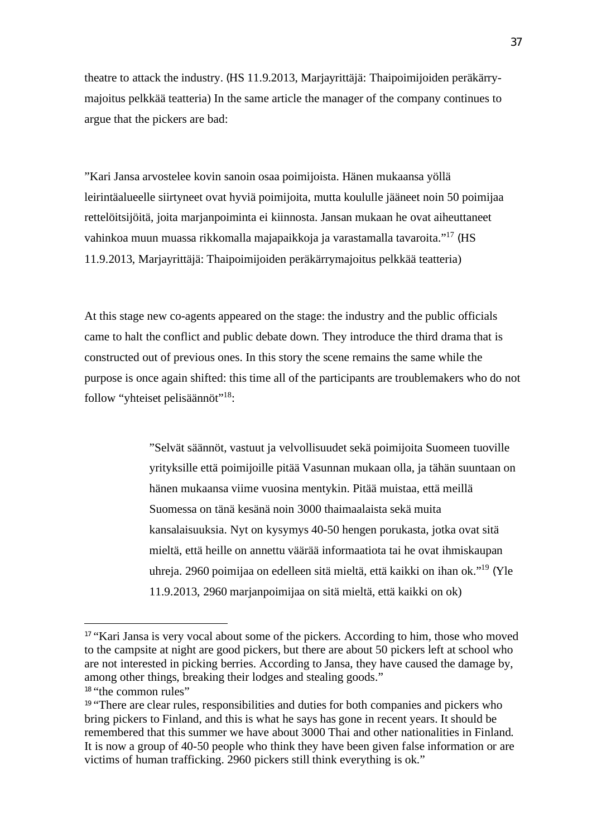theatre to attack the industry. (HS 11.9.2013, Marjayrittäjä: Thaipoimijoiden peräkärrymajoitus pelkkää teatteria) In the same article the manager of the company continues to argue that the pickers are bad:

"Kari Jansa arvostelee kovin sanoin osaa poimijoista. Hänen mukaansa yöllä leirintäalueelle siirtyneet ovat hyviä poimijoita, mutta koululle jääneet noin 50 poimijaa rettelöitsijöitä, joita marjanpoiminta ei kiinnosta. Jansan mukaan he ovat aiheuttaneet vahinkoa muun muassa rikkomalla majapaikkoja ja varastamalla tavaroita."<sup>17</sup> (HS 11.9.2013, Marjayrittäjä: Thaipoimijoiden peräkärrymajoitus pelkkää teatteria)

At this stage new co-agents appeared on the stage: the industry and the public officials came to halt the conflict and public debate down. They introduce the third drama that is constructed out of previous ones. In this story the scene remains the same while the purpose is once again shifted: this time all of the participants are troublemakers who do not follow "yhteiset pelisäännöt"<sup>18</sup>:

> "Selvät säännöt, vastuut ja velvollisuudet sekä poimijoita Suomeen tuoville yrityksille että poimijoille pitää Vasunnan mukaan olla, ja tähän suuntaan on hänen mukaansa viime vuosina mentykin. Pitää muistaa, että meillä Suomessa on tänä kesänä noin 3000 thaimaalaista sekä muita kansalaisuuksia. Nyt on kysymys 40-50 hengen porukasta, jotka ovat sitä mieltä, että heille on annettu väärää informaatiota tai he ovat ihmiskaupan uhreja. 2960 poimijaa on edelleen sitä mieltä, että kaikki on ihan ok."<sup>19</sup> (Yle 11.9.2013, 2960 marjanpoimijaa on sitä mieltä, että kaikki on ok)

<sup>&</sup>lt;sup>17</sup> "Kari Jansa is very vocal about some of the pickers. According to him, those who moved to the campsite at night are good pickers, but there are about 50 pickers left at school who are not interested in picking berries. According to Jansa, they have caused the damage by, among other things, breaking their lodges and stealing goods." <sup>18</sup> "the common rules"

<sup>&</sup>lt;sup>19</sup> "There are clear rules, responsibilities and duties for both companies and pickers who bring pickers to Finland, and this is what he says has gone in recent years. It should be remembered that this summer we have about 3000 Thai and other nationalities in Finland. It is now a group of 40-50 people who think they have been given false information or are victims of human trafficking. 2960 pickers still think everything is ok."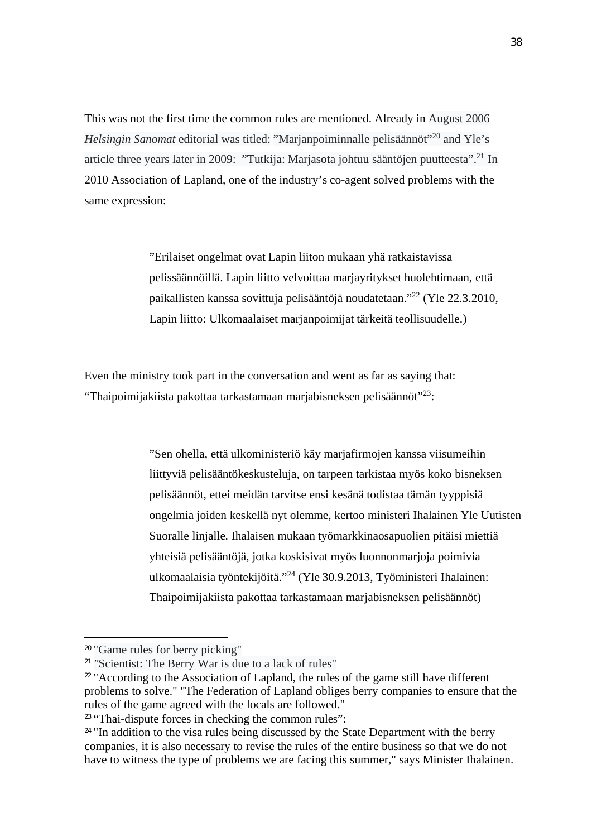This was not the first time the common rules are mentioned. Already in August 2006 *Helsingin Sanomat* editorial was titled: "Marjanpoiminnalle pelisäännöt"<sup>20</sup> and Yle's article three years later in 2009: "Tutkija: Marjasota johtuu sääntöjen puutteesta".<sup>21</sup> In 2010 Association of Lapland, one of the industry's co-agent solved problems with the same expression:

> "Erilaiset ongelmat ovat Lapin liiton mukaan yhä ratkaistavissa pelissäännöillä. Lapin liitto velvoittaa marjayritykset huolehtimaan, että paikallisten kanssa sovittuja pelisääntöjä noudatetaan."<sup>22</sup> (Yle 22.3.2010, Lapin liitto: Ulkomaalaiset marjanpoimijat tärkeitä teollisuudelle.)

Even the ministry took part in the conversation and went as far as saying that: "Thaipoimijakiista pakottaa tarkastamaan marjabisneksen pelisäännöt"<sup>23</sup>:

> "Sen ohella, että ulkoministeriö käy marjafirmojen kanssa viisumeihin liittyviä pelisääntökeskusteluja, on tarpeen tarkistaa myös koko bisneksen pelisäännöt, ettei meidän tarvitse ensi kesänä todistaa tämän tyyppisiä ongelmia joiden keskellä nyt olemme, kertoo ministeri Ihalainen Yle Uutisten Suoralle linjalle. Ihalaisen mukaan työmarkkinaosapuolien pitäisi miettiä yhteisiä pelisääntöjä, jotka koskisivat myös luonnonmarjoja poimivia ulkomaalaisia työntekijöitä."<sup>24</sup> (Yle 30.9.2013, Työministeri Ihalainen: Thaipoimijakiista pakottaa tarkastamaan marjabisneksen pelisäännöt)

<sup>20</sup> "Game rules for berry picking"

<sup>&</sup>lt;sup>21</sup> "Scientist: The Berry War is due to a lack of rules"

<sup>&</sup>lt;sup>22</sup> "According to the Association of Lapland, the rules of the game still have different problems to solve." "The Federation of Lapland obliges berry companies to ensure that the rules of the game agreed with the locals are followed."

<sup>&</sup>lt;sup>23</sup> "Thai-dispute forces in checking the common rules":

<sup>&</sup>lt;sup>24</sup> "In addition to the visa rules being discussed by the State Department with the berry companies, it is also necessary to revise the rules of the entire business so that we do not have to witness the type of problems we are facing this summer," says Minister Ihalainen.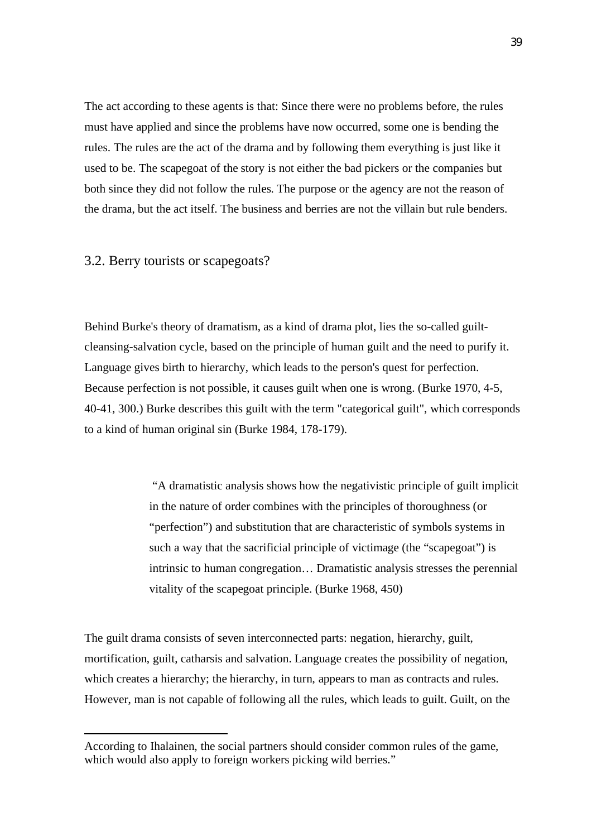The act according to these agents is that: Since there were no problems before, the rules must have applied and since the problems have now occurred, some one is bending the rules. The rules are the act of the drama and by following them everything is just like it used to be. The scapegoat of the story is not either the bad pickers or the companies but both since they did not follow the rules. The purpose or the agency are not the reason of the drama, but the act itself. The business and berries are not the villain but rule benders.

3.2. Berry tourists or scapegoats?

Behind Burke's theory of dramatism, as a kind of drama plot, lies the so-called guiltcleansing-salvation cycle, based on the principle of human guilt and the need to purify it. Language gives birth to hierarchy, which leads to the person's quest for perfection. Because perfection is not possible, it causes guilt when one is wrong. (Burke 1970, 4-5, 40-41, 300.) Burke describes this guilt with the term "categorical guilt", which corresponds to a kind of human original sin (Burke 1984, 178-179).

> "A dramatistic analysis shows how the negativistic principle of guilt implicit in the nature of order combines with the principles of thoroughness (or "perfection") and substitution that are characteristic of symbols systems in such a way that the sacrificial principle of victimage (the "scapegoat") is intrinsic to human congregation… Dramatistic analysis stresses the perennial vitality of the scapegoat principle. (Burke 1968, 450)

The guilt drama consists of seven interconnected parts: negation, hierarchy, guilt, mortification, guilt, catharsis and salvation. Language creates the possibility of negation, which creates a hierarchy; the hierarchy, in turn, appears to man as contracts and rules. However, man is not capable of following all the rules, which leads to guilt. Guilt, on the

According to Ihalainen, the social partners should consider common rules of the game, which would also apply to foreign workers picking wild berries."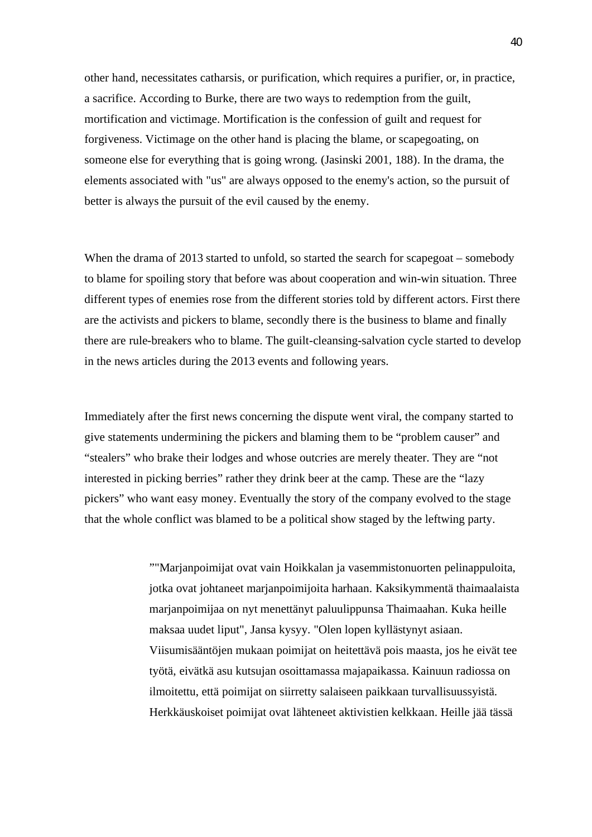other hand, necessitates catharsis, or purification, which requires a purifier, or, in practice, a sacrifice. According to Burke, there are two ways to redemption from the guilt, mortification and victimage. Mortification is the confession of guilt and request for forgiveness. Victimage on the other hand is placing the blame, or scapegoating, on someone else for everything that is going wrong. (Jasinski 2001, 188). In the drama, the elements associated with "us" are always opposed to the enemy's action, so the pursuit of better is always the pursuit of the evil caused by the enemy.

When the drama of 2013 started to unfold, so started the search for scapegoat – somebody to blame for spoiling story that before was about cooperation and win-win situation. Three different types of enemies rose from the different stories told by different actors. First there are the activists and pickers to blame, secondly there is the business to blame and finally there are rule-breakers who to blame. The guilt-cleansing-salvation cycle started to develop in the news articles during the 2013 events and following years.

Immediately after the first news concerning the dispute went viral, the company started to give statements undermining the pickers and blaming them to be "problem causer" and "stealers" who brake their lodges and whose outcries are merely theater. They are "not interested in picking berries" rather they drink beer at the camp. These are the "lazy pickers" who want easy money. Eventually the story of the company evolved to the stage that the whole conflict was blamed to be a political show staged by the leftwing party.

> ""Marjanpoimijat ovat vain Hoikkalan ja vasemmistonuorten pelinappuloita, jotka ovat johtaneet marjanpoimijoita harhaan. Kaksikymmentä thaimaalaista marjanpoimijaa on nyt menettänyt paluulippunsa Thaimaahan. Kuka heille maksaa uudet liput", Jansa kysyy. "Olen lopen kyllästynyt asiaan. Viisumisääntöjen mukaan poimijat on heitettävä pois maasta, jos he eivät tee työtä, eivätkä asu kutsujan osoittamassa majapaikassa. Kainuun radiossa on ilmoitettu, että poimijat on siirretty salaiseen paikkaan turvallisuussyistä. Herkkäuskoiset poimijat ovat lähteneet aktivistien kelkkaan. Heille jää tässä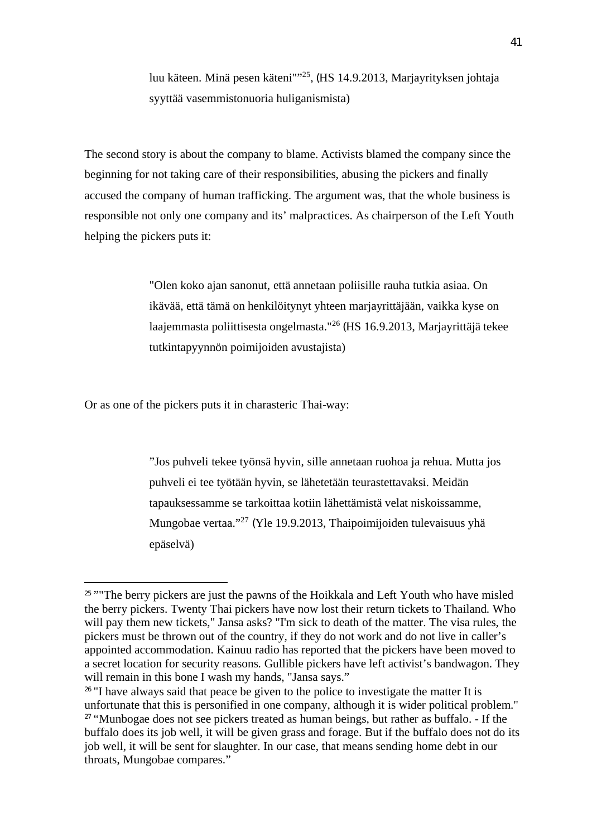luu käteen. Minä pesen käteni"<sup>125</sup>, (HS 14.9.2013, Marjayrityksen johtaja syyttää vasemmistonuoria huliganismista)

The second story is about the company to blame. Activists blamed the company since the beginning for not taking care of their responsibilities, abusing the pickers and finally accused the company of human trafficking. The argument was, that the whole business is responsible not only one company and its' malpractices. As chairperson of the Left Youth helping the pickers puts it:

> "Olen koko ajan sanonut, että annetaan poliisille rauha tutkia asiaa. On ikävää, että tämä on henkilöitynyt yhteen marjayrittäjään, vaikka kyse on laajemmasta poliittisesta ongelmasta."<sup>26</sup> (HS 16.9.2013, Marjayrittäjä tekee tutkintapyynnön poimijoiden avustajista)

Or as one of the pickers puts it in charasteric Thai-way:

"Jos puhveli tekee työnsä hyvin, sille annetaan ruohoa ja rehua. Mutta jos puhveli ei tee työtään hyvin, se lähetetään teurastettavaksi. Meidän tapauksessamme se tarkoittaa kotiin lähettämistä velat niskoissamme, Mungobae vertaa."<sup>27</sup> (Yle 19.9.2013, Thaipoimijoiden tulevaisuus yhä epäselvä)

<sup>&</sup>lt;sup>25</sup> "The berry pickers are just the pawns of the Hoikkala and Left Youth who have misled the berry pickers. Twenty Thai pickers have now lost their return tickets to Thailand. Who will pay them new tickets," Jansa asks? "I'm sick to death of the matter. The visa rules, the pickers must be thrown out of the country, if they do not work and do not live in caller's appointed accommodation. Kainuu radio has reported that the pickers have been moved to a secret location for security reasons. Gullible pickers have left activist's bandwagon. They will remain in this bone I wash my hands, "Jansa says."

<sup>&</sup>lt;sup>26</sup> "I have always said that peace be given to the police to investigate the matter It is unfortunate that this is personified in one company, although it is wider political problem." <sup>27</sup> "Munbogae does not see pickers treated as human beings, but rather as buffalo. - If the buffalo does its job well, it will be given grass and forage. But if the buffalo does not do its job well, it will be sent for slaughter. In our case, that means sending home debt in our throats, Mungobae compares."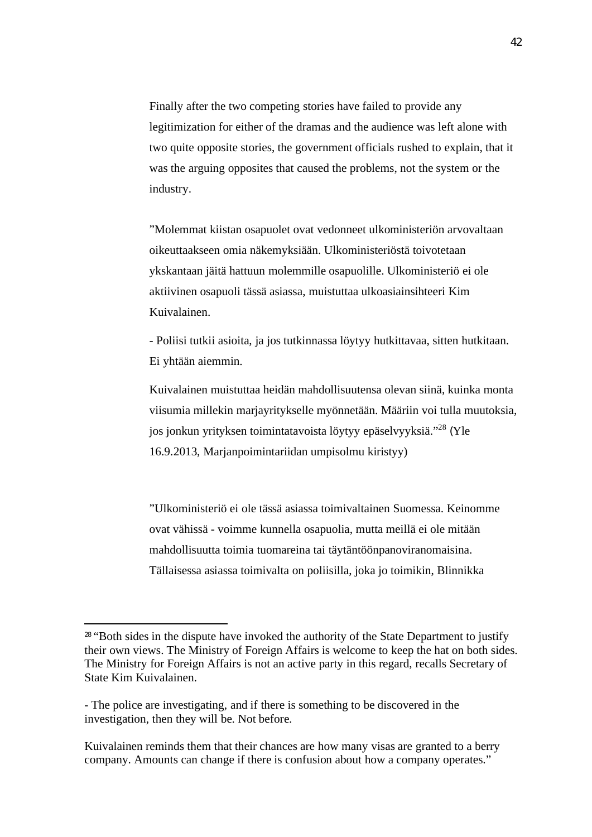Finally after the two competing stories have failed to provide any legitimization for either of the dramas and the audience was left alone with two quite opposite stories, the government officials rushed to explain, that it was the arguing opposites that caused the problems, not the system or the industry.

"Molemmat kiistan osapuolet ovat vedonneet ulkoministeriön arvovaltaan oikeuttaakseen omia näkemyksiään. Ulkoministeriöstä toivotetaan ykskantaan jäitä hattuun molemmille osapuolille. Ulkoministeriö ei ole aktiivinen osapuoli tässä asiassa, muistuttaa ulkoasiainsihteeri Kim Kuivalainen.

- Poliisi tutkii asioita, ja jos tutkinnassa löytyy hutkittavaa, sitten hutkitaan. Ei yhtään aiemmin.

Kuivalainen muistuttaa heidän mahdollisuutensa olevan siinä, kuinka monta viisumia millekin marjayritykselle myönnetään. Määriin voi tulla muutoksia, jos jonkun yrityksen toimintatavoista löytyy epäselvyyksiä."<sup>28</sup> (Yle 16.9.2013, Marjanpoimintariidan umpisolmu kiristyy)

"Ulkoministeriö ei ole tässä asiassa toimivaltainen Suomessa. Keinomme ovat vähissä - voimme kunnella osapuolia, mutta meillä ei ole mitään mahdollisuutta toimia tuomareina tai täytäntöönpanoviranomaisina. Tällaisessa asiassa toimivalta on poliisilla, joka jo toimikin, Blinnikka

<sup>&</sup>lt;sup>28</sup> "Both sides in the dispute have invoked the authority of the State Department to justify their own views. The Ministry of Foreign Affairs is welcome to keep the hat on both sides. The Ministry for Foreign Affairs is not an active party in this regard, recalls Secretary of State Kim Kuivalainen.

<sup>-</sup> The police are investigating, and if there is something to be discovered in the investigation, then they will be. Not before.

Kuivalainen reminds them that their chances are how many visas are granted to a berry company. Amounts can change if there is confusion about how a company operates."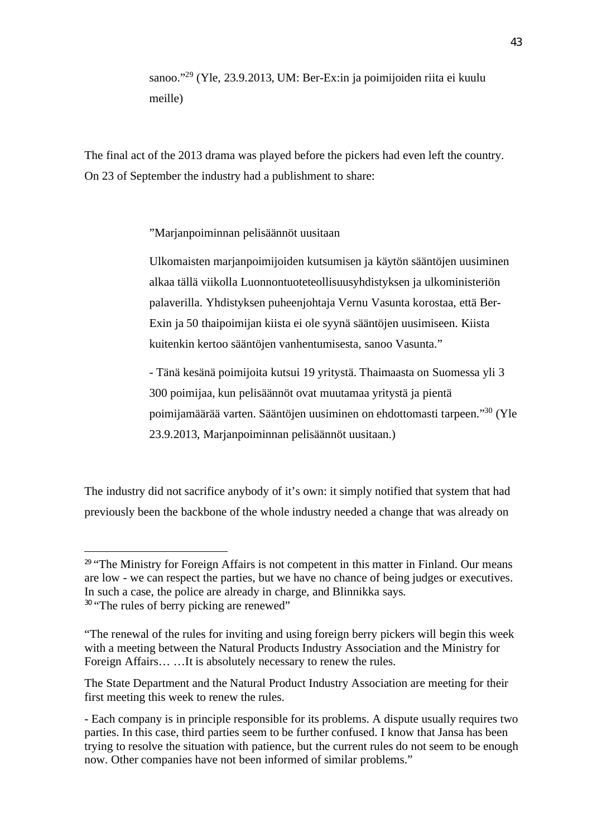sanoo."<sup>29</sup> (Yle, 23.9.2013, UM: Ber-Ex:in ja poimijoiden riita ei kuulu meille)

The final act of the 2013 drama was played before the pickers had even left the country. On 23 of September the industry had a publishment to share:

"Marjanpoiminnan pelisäännöt uusitaan

Ulkomaisten marjanpoimijoiden kutsumisen ja käytön sääntöjen uusiminen alkaa tällä viikolla Luonnontuoteteollisuusyhdistyksen ja ulkoministeriön palaverilla. Yhdistyksen puheenjohtaja Vernu Vasunta korostaa, että Ber-Exin ja 50 thaipoimijan kiista ei ole syynä sääntöjen uusimiseen. Kiista kuitenkin kertoo sääntöjen vanhentumisesta, sanoo Vasunta."

- Tänä kesänä poimijoita kutsui 19 yritystä. Thaimaasta on Suomessa yli 3 300 poimijaa, kun pelisäännöt ovat muutamaa yritystä ja pientä poimijamäärää varten. Sääntöjen uusiminen on ehdottomasti tarpeen."<sup>30</sup> (Yle 23.9.2013, Marjanpoiminnan pelisäännöt uusitaan.)

The industry did not sacrifice anybody of it's own: it simply notified that system that had previously been the backbone of the whole industry needed a change that was already on

<sup>&</sup>lt;sup>29</sup> "The Ministry for Foreign Affairs is not competent in this matter in Finland. Our means are low - we can respect the parties, but we have no chance of being judges or executives. In such a case, the police are already in charge, and Blinnikka says. <sup>30</sup> "The rules of berry picking are renewed"

<sup>&</sup>quot;The renewal of the rules for inviting and using foreign berry pickers will begin this week with a meeting between the Natural Products Industry Association and the Ministry for Foreign Affairs… …It is absolutely necessary to renew the rules.

The State Department and the Natural Product Industry Association are meeting for their first meeting this week to renew the rules.

<sup>-</sup> Each company is in principle responsible for its problems. A dispute usually requires two parties. In this case, third parties seem to be further confused. I know that Jansa has been trying to resolve the situation with patience, but the current rules do not seem to be enough now. Other companies have not been informed of similar problems."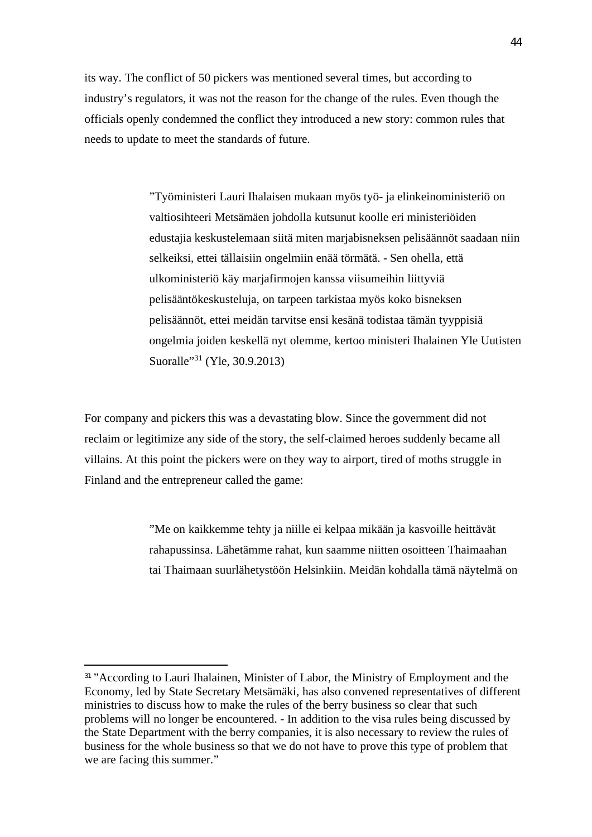its way. The conflict of 50 pickers was mentioned several times, but according to industry's regulators, it was not the reason for the change of the rules. Even though the officials openly condemned the conflict they introduced a new story: common rules that needs to update to meet the standards of future.

> "Työministeri Lauri Ihalaisen mukaan myös työ- ja elinkeinoministeriö on valtiosihteeri Metsämäen johdolla kutsunut koolle eri ministeriöiden edustajia keskustelemaan siitä miten marjabisneksen pelisäännöt saadaan niin selkeiksi, ettei tällaisiin ongelmiin enää törmätä. - Sen ohella, että ulkoministeriö käy marjafirmojen kanssa viisumeihin liittyviä pelisääntökeskusteluja, on tarpeen tarkistaa myös koko bisneksen pelisäännöt, ettei meidän tarvitse ensi kesänä todistaa tämän tyyppisiä ongelmia joiden keskellä nyt olemme, kertoo ministeri Ihalainen Yle Uutisten Suoralle<sup>31</sup> (Yle, 30.9.2013)

For company and pickers this was a devastating blow. Since the government did not reclaim or legitimize any side of the story, the self-claimed heroes suddenly became all villains. At this point the pickers were on they way to airport, tired of moths struggle in Finland and the entrepreneur called the game:

> "Me on kaikkemme tehty ja niille ei kelpaa mikään ja kasvoille heittävät rahapussinsa. Lähetämme rahat, kun saamme niitten osoitteen Thaimaahan tai Thaimaan suurlähetystöön Helsinkiin. Meidän kohdalla tämä näytelmä on

<sup>&</sup>lt;sup>31</sup> "According to Lauri Ihalainen, Minister of Labor, the Ministry of Employment and the Economy, led by State Secretary Metsämäki, has also convened representatives of different ministries to discuss how to make the rules of the berry business so clear that such problems will no longer be encountered. - In addition to the visa rules being discussed by the State Department with the berry companies, it is also necessary to review the rules of business for the whole business so that we do not have to prove this type of problem that we are facing this summer."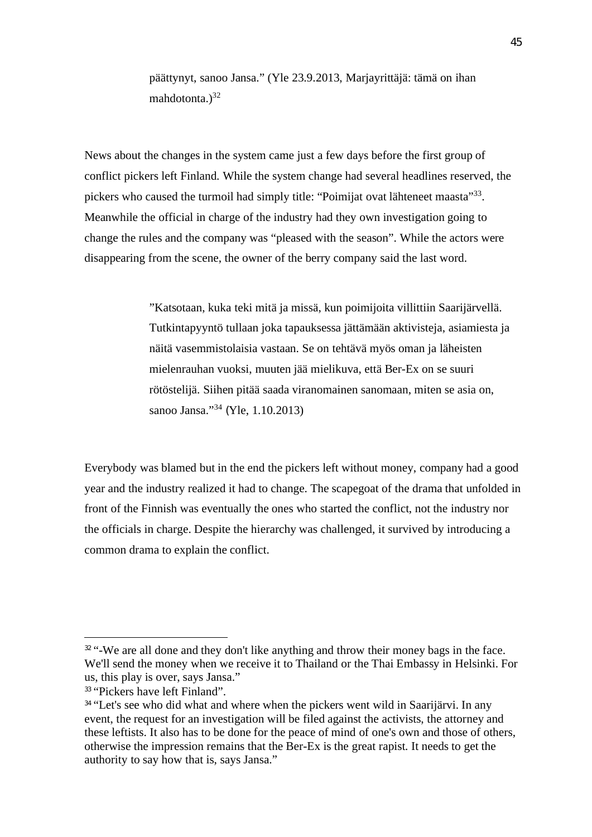päättynyt, sanoo Jansa." (Yle 23.9.2013, Marjayrittäjä: tämä on ihan mahdotonta. $)^{32}$ 

News about the changes in the system came just a few days before the first group of conflict pickers left Finland. While the system change had several headlines reserved, the pickers who caused the turmoil had simply title: "Poimijat ovat lähteneet maasta"<sup>33</sup>. Meanwhile the official in charge of the industry had they own investigation going to change the rules and the company was "pleased with the season". While the actors were disappearing from the scene, the owner of the berry company said the last word.

> "Katsotaan, kuka teki mitä ja missä, kun poimijoita villittiin Saarijärvellä. Tutkintapyyntö tullaan joka tapauksessa jättämään aktivisteja, asiamiesta ja näitä vasemmistolaisia vastaan. Se on tehtävä myös oman ja läheisten mielenrauhan vuoksi, muuten jää mielikuva, että Ber-Ex on se suuri rötöstelijä. Siihen pitää saada viranomainen sanomaan, miten se asia on, sanoo Jansa."<sup>34</sup> (Yle, 1.10.2013)

Everybody was blamed but in the end the pickers left without money, company had a good year and the industry realized it had to change. The scapegoat of the drama that unfolded in front of the Finnish was eventually the ones who started the conflict, not the industry nor the officials in charge. Despite the hierarchy was challenged, it survived by introducing a common drama to explain the conflict.

<sup>&</sup>lt;sup>32</sup> "-We are all done and they don't like anything and throw their money bags in the face. We'll send the money when we receive it to Thailand or the Thai Embassy in Helsinki. For us, this play is over, says Jansa."

<sup>&</sup>lt;sup>33</sup> "Pickers have left Finland".

<sup>&</sup>lt;sup>34</sup> "Let's see who did what and where when the pickers went wild in Saarijärvi. In any event, the request for an investigation will be filed against the activists, the attorney and these leftists. It also has to be done for the peace of mind of one's own and those of others, otherwise the impression remains that the Ber-Ex is the great rapist. It needs to get the authority to say how that is, says Jansa."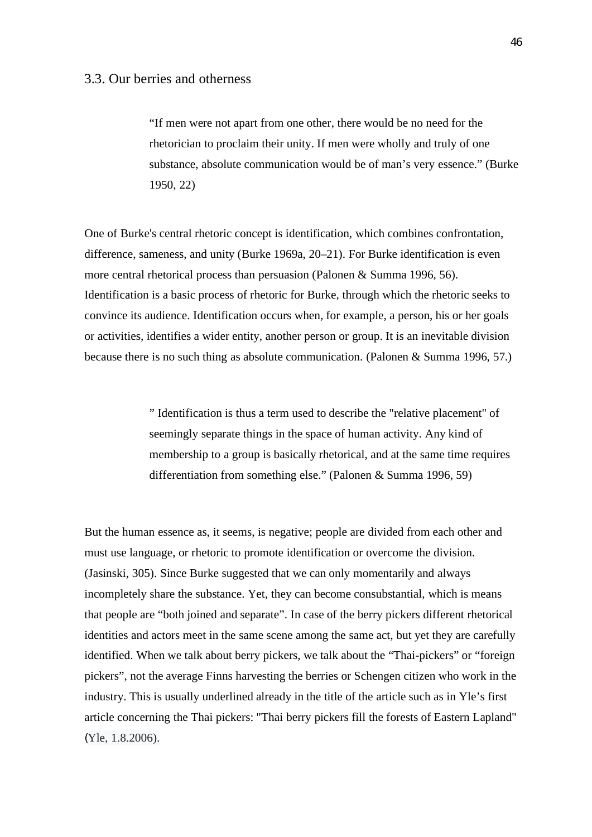"If men were not apart from one other, there would be no need for the rhetorician to proclaim their unity. If men were wholly and truly of one substance, absolute communication would be of man's very essence." (Burke 1950, 22)

One of Burke's central rhetoric concept is identification, which combines confrontation, difference, sameness, and unity (Burke 1969a, 20–21). For Burke identification is even more central rhetorical process than persuasion (Palonen & Summa 1996, 56). Identification is a basic process of rhetoric for Burke, through which the rhetoric seeks to convince its audience. Identification occurs when, for example, a person, his or her goals or activities, identifies a wider entity, another person or group. It is an inevitable division because there is no such thing as absolute communication. (Palonen & Summa 1996, 57.)

> " Identification is thus a term used to describe the "relative placement" of seemingly separate things in the space of human activity. Any kind of membership to a group is basically rhetorical, and at the same time requires differentiation from something else." (Palonen & Summa 1996, 59)

But the human essence as, it seems, is negative; people are divided from each other and must use language, or rhetoric to promote identification or overcome the division. (Jasinski, 305). Since Burke suggested that we can only momentarily and always incompletely share the substance. Yet, they can become consubstantial, which is means that people are "both joined and separate". In case of the berry pickers different rhetorical identities and actors meet in the same scene among the same act, but yet they are carefully identified. When we talk about berry pickers, we talk about the "Thai-pickers" or "foreign pickers", not the average Finns harvesting the berries or Schengen citizen who work in the industry. This is usually underlined already in the title of the article such as in Yle's first article concerning the Thai pickers: "Thai berry pickers fill the forests of Eastern Lapland" (Yle, 1.8.2006).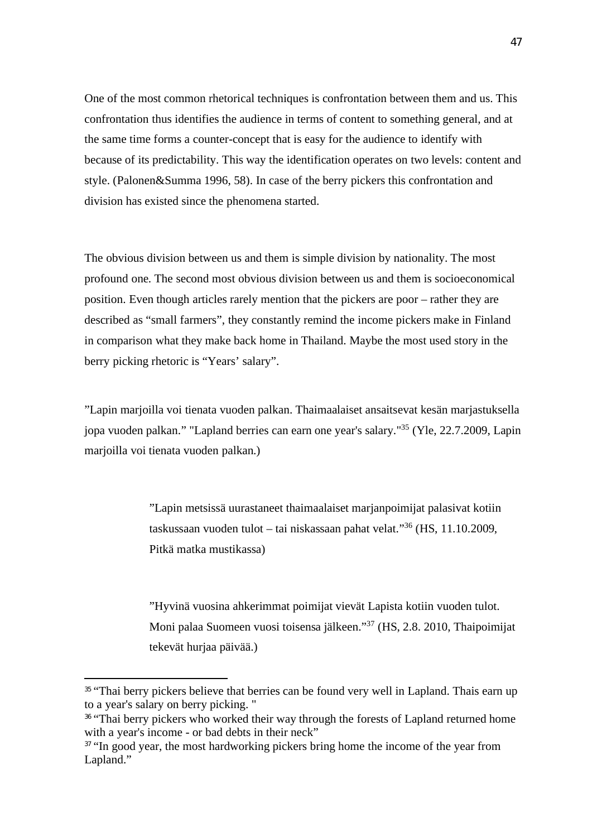One of the most common rhetorical techniques is confrontation between them and us. This confrontation thus identifies the audience in terms of content to something general, and at the same time forms a counter-concept that is easy for the audience to identify with because of its predictability. This way the identification operates on two levels: content and style. (Palonen&Summa 1996, 58). In case of the berry pickers this confrontation and division has existed since the phenomena started.

The obvious division between us and them is simple division by nationality. The most profound one. The second most obvious division between us and them is socioeconomical position. Even though articles rarely mention that the pickers are poor – rather they are described as "small farmers", they constantly remind the income pickers make in Finland in comparison what they make back home in Thailand. Maybe the most used story in the berry picking rhetoric is "Years' salary".

"Lapin marjoilla voi tienata vuoden palkan. Thaimaalaiset ansaitsevat kesän marjastuksella jopa vuoden palkan." "Lapland berries can earn one year's salary."<sup>35</sup> (Yle, 22.7.2009, Lapin marjoilla voi tienata vuoden palkan.)

> "Lapin metsissä uurastaneet thaimaalaiset marjanpoimijat palasivat kotiin taskussaan vuoden tulot – tai niskassaan pahat velat."<sup>36</sup> (HS, 11.10.2009, Pitkä matka mustikassa)

"Hyvinä vuosina ahkerimmat poimijat vievät Lapista kotiin vuoden tulot. Moni palaa Suomeen vuosi toisensa jälkeen."<sup>37</sup> (HS, 2.8. 2010, Thaipoimijat tekevät hurjaa päivää.)

<sup>&</sup>lt;sup>35</sup> "Thai berry pickers believe that berries can be found very well in Lapland. Thais earn up to a year's salary on berry picking. "

<sup>&</sup>lt;sup>36</sup> "Thai berry pickers who worked their way through the forests of Lapland returned home with a year's income - or bad debts in their neck"

<sup>&</sup>lt;sup>37</sup> "In good year, the most hardworking pickers bring home the income of the year from Lapland."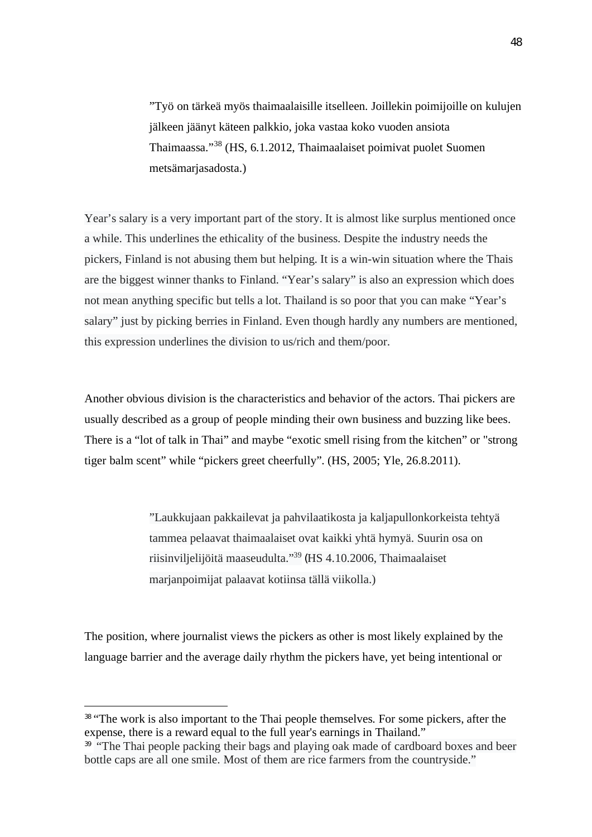"Työ on tärkeä myös thaimaalaisille itselleen. Joillekin poimijoille on kulujen jälkeen jäänyt käteen palkkio, joka vastaa koko vuoden ansiota Thaimaassa."<sup>38</sup> (HS, 6.1.2012, Thaimaalaiset poimivat puolet Suomen metsämarjasadosta.)

Year's salary is a very important part of the story. It is almost like surplus mentioned once a while. This underlines the ethicality of the business. Despite the industry needs the pickers, Finland is not abusing them but helping. It is a win-win situation where the Thais are the biggest winner thanks to Finland. "Year's salary" is also an expression which does not mean anything specific but tells a lot. Thailand is so poor that you can make "Year's salary" just by picking berries in Finland. Even though hardly any numbers are mentioned, this expression underlines the division to us/rich and them/poor.

Another obvious division is the characteristics and behavior of the actors. Thai pickers are usually described as a group of people minding their own business and buzzing like bees. There is a "lot of talk in Thai" and maybe "exotic smell rising from the kitchen" or "strong tiger balm scent" while "pickers greet cheerfully". (HS, 2005; Yle, 26.8.2011).

> "Laukkujaan pakkailevat ja pahvilaatikosta ja kaljapullonkorkeista tehtyä tammea pelaavat thaimaalaiset ovat kaikki yhtä hymyä. Suurin osa on riisinviljelijöitä maaseudulta."<sup>39</sup> (HS 4.10.2006, Thaimaalaiset marjanpoimijat palaavat kotiinsa tällä viikolla.)

The position, where journalist views the pickers as other is most likely explained by the language barrier and the average daily rhythm the pickers have, yet being intentional or

<sup>&</sup>lt;sup>38</sup> "The work is also important to the Thai people themselves. For some pickers, after the expense, there is a reward equal to the full year's earnings in Thailand."

 $39$  "The Thai people packing their bags and playing oak made of cardboard boxes and beer bottle caps are all one smile. Most of them are rice farmers from the countryside."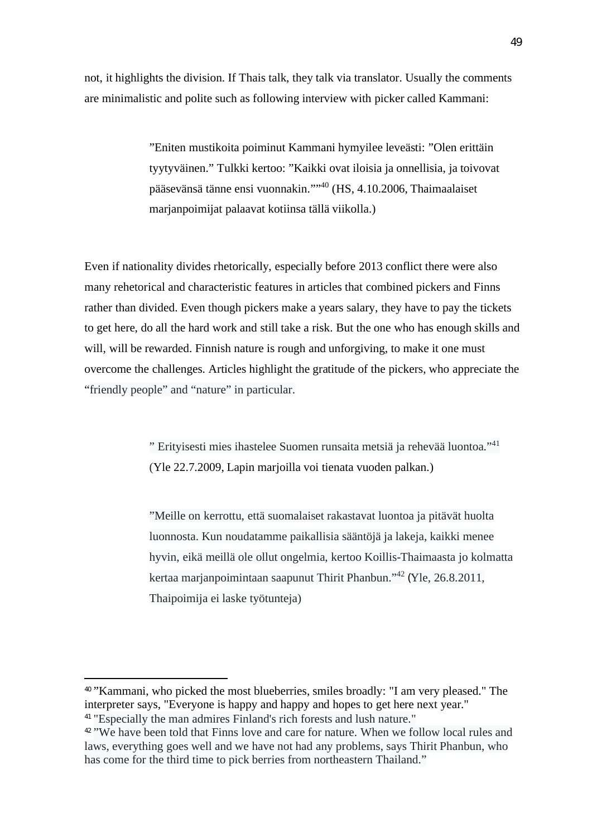not, it highlights the division. If Thais talk, they talk via translator. Usually the comments are minimalistic and polite such as following interview with picker called Kammani:

> "Eniten mustikoita poiminut Kammani hymyilee leveästi: "Olen erittäin tyytyväinen." Tulkki kertoo: "Kaikki ovat iloisia ja onnellisia, ja toivovat pääsevänsä tänne ensi vuonnakin.""<sup>40</sup> (HS, 4.10.2006, Thaimaalaiset marjanpoimijat palaavat kotiinsa tällä viikolla.)

Even if nationality divides rhetorically, especially before 2013 conflict there were also many rehetorical and characteristic features in articles that combined pickers and Finns rather than divided. Even though pickers make a years salary, they have to pay the tickets to get here, do all the hard work and still take a risk. But the one who has enough skills and will, will be rewarded. Finnish nature is rough and unforgiving, to make it one must overcome the challenges. Articles highlight the gratitude of the pickers, who appreciate the "friendly people" and "nature" in particular.

> " Erityisesti mies ihastelee Suomen runsaita metsiä ja rehevää luontoa."<sup>41</sup> (Yle 22.7.2009, Lapin marjoilla voi tienata vuoden palkan.)

"Meille on kerrottu, että suomalaiset rakastavat luontoa ja pitävät huolta luonnosta. Kun noudatamme paikallisia sääntöjä ja lakeja, kaikki menee hyvin, eikä meillä ole ollut ongelmia, kertoo Koillis-Thaimaasta jo kolmatta kertaa marjanpoimintaan saapunut Thirit Phanbun."<sup>42</sup> (Yle, 26.8.2011, Thaipoimija ei laske työtunteja)

<sup>40</sup> "Kammani, who picked the most blueberries, smiles broadly: "I am very pleased." The interpreter says, "Everyone is happy and happy and hopes to get here next year." <sup>41</sup> "Especially the man admires Finland's rich forests and lush nature."

<sup>&</sup>lt;sup>42</sup> "We have been told that Finns love and care for nature. When we follow local rules and laws, everything goes well and we have not had any problems, says Thirit Phanbun, who has come for the third time to pick berries from northeastern Thailand."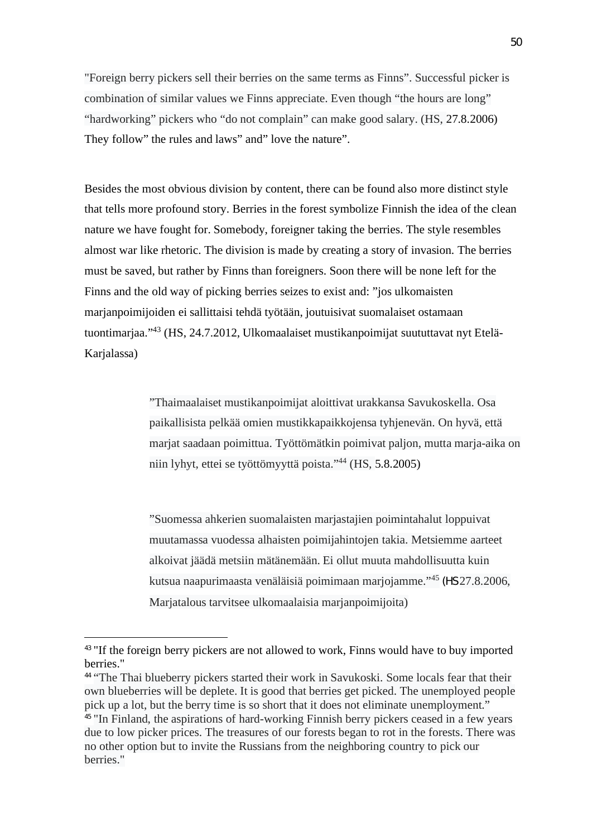"Foreign berry pickers sell their berries on the same terms as Finns". Successful picker is combination of similar values we Finns appreciate. Even though "the hours are long" "hardworking" pickers who "do not complain" can make good salary. (HS, 27.8.2006) They follow" the rules and laws" and" love the nature".

Besides the most obvious division by content, there can be found also more distinct style that tells more profound story. Berries in the forest symbolize Finnish the idea of the clean nature we have fought for. Somebody, foreigner taking the berries. The style resembles almost war like rhetoric. The division is made by creating a story of invasion. The berries must be saved, but rather by Finns than foreigners. Soon there will be none left for the Finns and the old way of picking berries seizes to exist and: "jos ulkomaisten marjanpoimijoiden ei sallittaisi tehdä työtään, joutuisivat suomalaiset ostamaan tuontimarjaa."<sup>43</sup> (HS, 24.7.2012, Ulkomaalaiset mustikanpoimijat suututtavat nyt Etelä-Karjalassa)

> "Thaimaalaiset mustikanpoimijat aloittivat urakkansa Savukoskella. Osa paikallisista pelkää omien mustikkapaikkojensa tyhjenevän. On hyvä, että marjat saadaan poimittua. Työttömätkin poimivat paljon, mutta marja-aika on niin lyhyt, ettei se työttömyyttä poista."<sup>44</sup> (HS, 5.8.2005)

"Suomessa ahkerien suomalaisten marjastajien poimintahalut loppuivat muutamassa vuodessa alhaisten poimijahintojen takia. Metsiemme aarteet alkoivat jäädä metsiin mätänemään. Ei ollut muuta mahdollisuutta kuin kutsua naapurimaasta venäläisiä poimimaan marjojamme."<sup>45</sup> (HS 27.8.2006, Marjatalous tarvitsee ulkomaalaisia marjanpoimijoita)

<sup>&</sup>lt;sup>43</sup> "If the foreign berry pickers are not allowed to work. Finns would have to buy imported berries."

<sup>44</sup> "The Thai blueberry pickers started their work in Savukoski. Some locals fear that their own blueberries will be deplete. It is good that berries get picked. The unemployed people pick up a lot, but the berry time is so short that it does not eliminate unemployment." <sup>45</sup> "In Finland, the aspirations of hard-working Finnish berry pickers ceased in a few years due to low picker prices. The treasures of our forests began to rot in the forests. There was no other option but to invite the Russians from the neighboring country to pick our berries."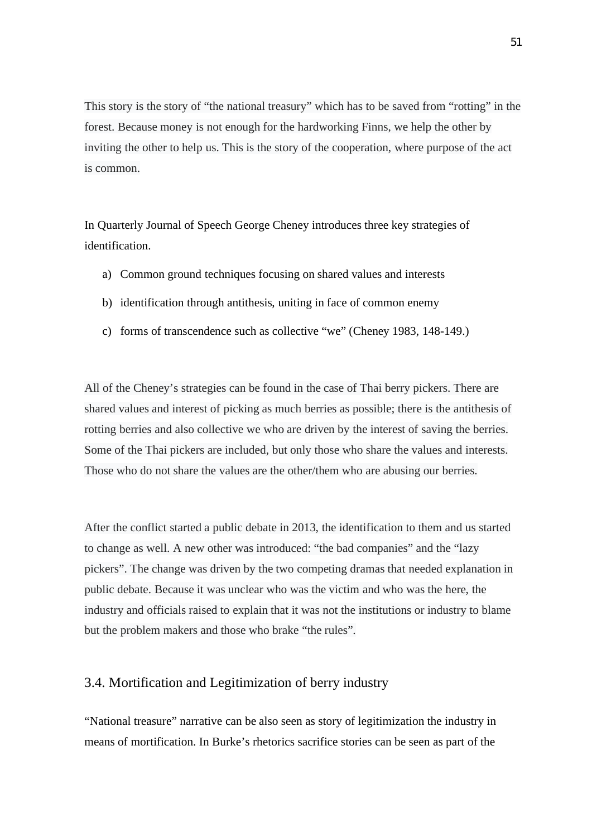This story is the story of "the national treasury" which has to be saved from "rotting" in the forest. Because money is not enough for the hardworking Finns, we help the other by inviting the other to help us. This is the story of the cooperation, where purpose of the act is common.

In Quarterly Journal of Speech George Cheney introduces three key strategies of identification.

- a) Common ground techniques focusing on shared values and interests
- b) identification through antithesis, uniting in face of common enemy
- c) forms of transcendence such as collective "we" (Cheney 1983, 148-149.)

All of the Cheney's strategies can be found in the case of Thai berry pickers. There are shared values and interest of picking as much berries as possible; there is the antithesis of rotting berries and also collective we who are driven by the interest of saving the berries. Some of the Thai pickers are included, but only those who share the values and interests. Those who do not share the values are the other/them who are abusing our berries.

After the conflict started a public debate in 2013, the identification to them and us started to change as well. A new other was introduced: "the bad companies" and the "lazy pickers". The change was driven by the two competing dramas that needed explanation in public debate. Because it was unclear who was the victim and who was the here, the industry and officials raised to explain that it was not the institutions or industry to blame but the problem makers and those who brake "the rules".

### 3.4. Mortification and Legitimization of berry industry

"National treasure" narrative can be also seen as story of legitimization the industry in means of mortification. In Burke's rhetorics sacrifice stories can be seen as part of the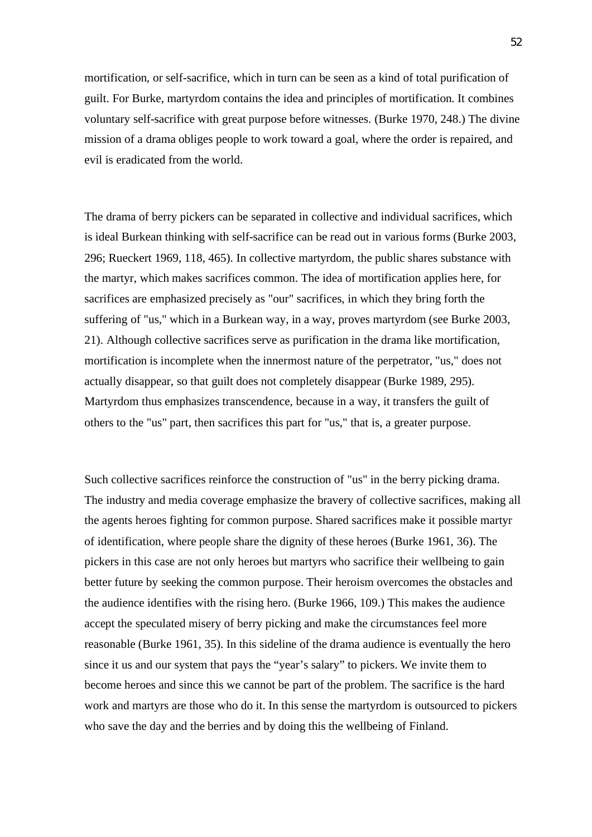mortification, or self-sacrifice, which in turn can be seen as a kind of total purification of guilt. For Burke, martyrdom contains the idea and principles of mortification. It combines voluntary self-sacrifice with great purpose before witnesses. (Burke 1970, 248.) The divine mission of a drama obliges people to work toward a goal, where the order is repaired, and evil is eradicated from the world.

The drama of berry pickers can be separated in collective and individual sacrifices, which is ideal Burkean thinking with self-sacrifice can be read out in various forms (Burke 2003, 296; Rueckert 1969, 118, 465). In collective martyrdom, the public shares substance with the martyr, which makes sacrifices common. The idea of mortification applies here, for sacrifices are emphasized precisely as "our" sacrifices, in which they bring forth the suffering of "us," which in a Burkean way, in a way, proves martyrdom (see Burke 2003, 21). Although collective sacrifices serve as purification in the drama like mortification, mortification is incomplete when the innermost nature of the perpetrator, "us," does not actually disappear, so that guilt does not completely disappear (Burke 1989, 295). Martyrdom thus emphasizes transcendence, because in a way, it transfers the guilt of others to the "us" part, then sacrifices this part for "us," that is, a greater purpose.

Such collective sacrifices reinforce the construction of "us" in the berry picking drama. The industry and media coverage emphasize the bravery of collective sacrifices, making all the agents heroes fighting for common purpose. Shared sacrifices make it possible martyr of identification, where people share the dignity of these heroes (Burke 1961, 36). The pickers in this case are not only heroes but martyrs who sacrifice their wellbeing to gain better future by seeking the common purpose. Their heroism overcomes the obstacles and the audience identifies with the rising hero. (Burke 1966, 109.) This makes the audience accept the speculated misery of berry picking and make the circumstances feel more reasonable (Burke 1961, 35). In this sideline of the drama audience is eventually the hero since it us and our system that pays the "year's salary" to pickers. We invite them to become heroes and since this we cannot be part of the problem. The sacrifice is the hard work and martyrs are those who do it. In this sense the martyrdom is outsourced to pickers who save the day and the berries and by doing this the wellbeing of Finland.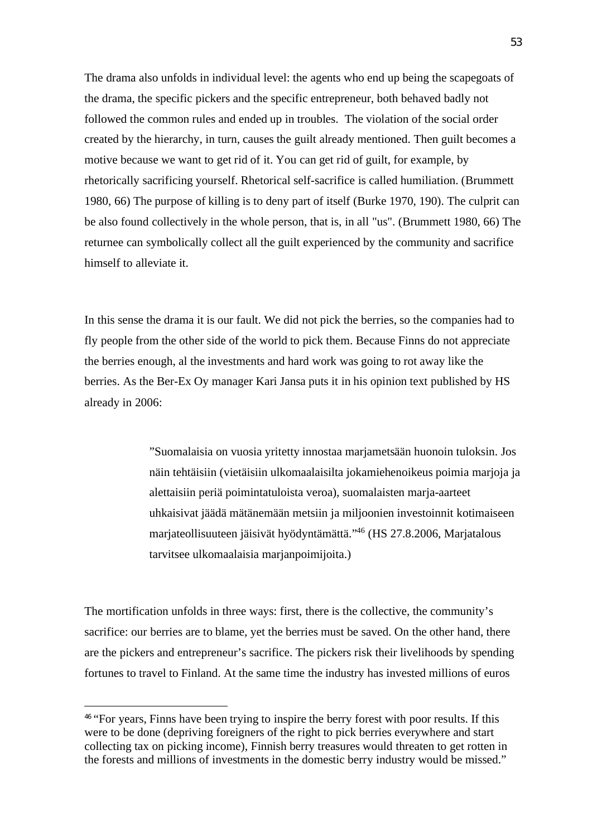The drama also unfolds in individual level: the agents who end up being the scapegoats of the drama, the specific pickers and the specific entrepreneur, both behaved badly not followed the common rules and ended up in troubles. The violation of the social order created by the hierarchy, in turn, causes the guilt already mentioned. Then guilt becomes a motive because we want to get rid of it. You can get rid of guilt, for example, by rhetorically sacrificing yourself. Rhetorical self-sacrifice is called humiliation. (Brummett 1980, 66) The purpose of killing is to deny part of itself (Burke 1970, 190). The culprit can be also found collectively in the whole person, that is, in all "us". (Brummett 1980, 66) The returnee can symbolically collect all the guilt experienced by the community and sacrifice himself to alleviate it.

In this sense the drama it is our fault. We did not pick the berries, so the companies had to fly people from the other side of the world to pick them. Because Finns do not appreciate the berries enough, al the investments and hard work was going to rot away like the berries. As the Ber-Ex Oy manager Kari Jansa puts it in his opinion text published by HS already in 2006:

> "Suomalaisia on vuosia yritetty innostaa marjametsään huonoin tuloksin. Jos näin tehtäisiin (vietäisiin ulkomaalaisilta jokamiehenoikeus poimia marjoja ja alettaisiin periä poimintatuloista veroa), suomalaisten marja-aarteet uhkaisivat jäädä mätänemään metsiin ja miljoonien investoinnit kotimaiseen marjateollisuuteen jäisivät hyödyntämättä."<sup>46</sup> (HS 27.8.2006, Marjatalous tarvitsee ulkomaalaisia marjanpoimijoita.)

The mortification unfolds in three ways: first, there is the collective, the community's sacrifice: our berries are to blame, yet the berries must be saved. On the other hand, there are the pickers and entrepreneur's sacrifice. The pickers risk their livelihoods by spending fortunes to travel to Finland. At the same time the industry has invested millions of euros

<sup>46</sup> "For years, Finns have been trying to inspire the berry forest with poor results. If this were to be done (depriving foreigners of the right to pick berries everywhere and start collecting tax on picking income), Finnish berry treasures would threaten to get rotten in the forests and millions of investments in the domestic berry industry would be missed."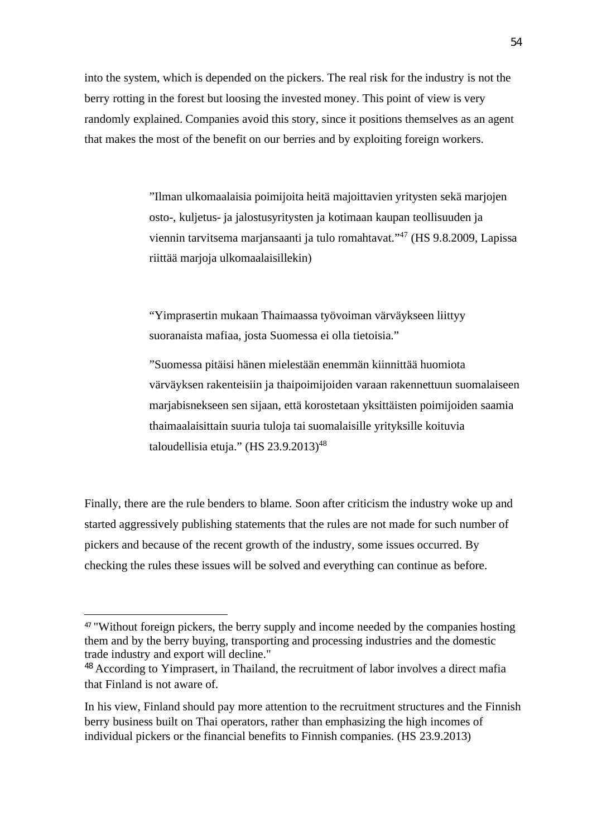into the system, which is depended on the pickers. The real risk for the industry is not the berry rotting in the forest but loosing the invested money. This point of view is very randomly explained. Companies avoid this story, since it positions themselves as an agent that makes the most of the benefit on our berries and by exploiting foreign workers.

> "Ilman ulkomaalaisia poimijoita heitä majoittavien yritysten sekä marjojen osto-, kuljetus- ja jalostusyritysten ja kotimaan kaupan teollisuuden ja viennin tarvitsema marjansaanti ja tulo romahtavat."<sup>47</sup> (HS 9.8.2009, Lapissa riittää marjoja ulkomaalaisillekin)

"Yimprasertin mukaan Thaimaassa työvoiman värväykseen liittyy suoranaista mafiaa, josta Suomessa ei olla tietoisia."

"Suomessa pitäisi hänen mielestään enemmän kiinnittää huomiota värväyksen rakenteisiin ja thaipoimijoiden varaan rakennettuun suomalaiseen marjabisnekseen sen sijaan, että korostetaan yksittäisten poimijoiden saamia thaimaalaisittain suuria tuloja tai suomalaisille yrityksille koituvia taloudellisia etuja." (HS  $23.9.2013$ )<sup>48</sup>

Finally, there are the rule benders to blame. Soon after criticism the industry woke up and started aggressively publishing statements that the rules are not made for such number of pickers and because of the recent growth of the industry, some issues occurred. By checking the rules these issues will be solved and everything can continue as before.

<sup>&</sup>lt;sup>47</sup> "Without foreign pickers, the berry supply and income needed by the companies hosting them and by the berry buying, transporting and processing industries and the domestic trade industry and export will decline."

<sup>&</sup>lt;sup>48</sup> According to Yimprasert, in Thailand, the recruitment of labor involves a direct mafia that Finland is not aware of.

In his view, Finland should pay more attention to the recruitment structures and the Finnish berry business built on Thai operators, rather than emphasizing the high incomes of individual pickers or the financial benefits to Finnish companies. (HS 23.9.2013)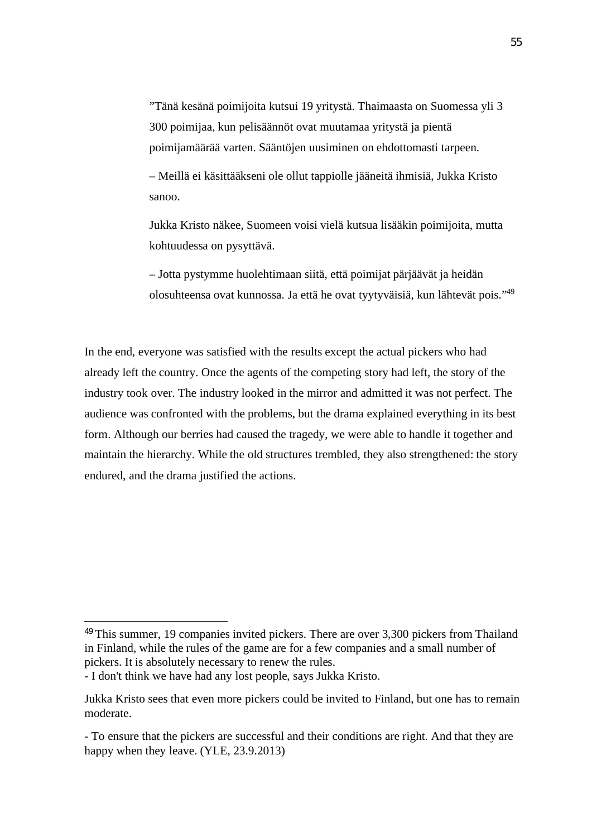"Tänä kesänä poimijoita kutsui 19 yritystä. Thaimaasta on Suomessa yli 3 300 poimijaa, kun pelisäännöt ovat muutamaa yritystä ja pientä poimijamäärää varten. Sääntöjen uusiminen on ehdottomasti tarpeen.

– Meillä ei käsittääkseni ole ollut tappiolle jääneitä ihmisiä, Jukka Kristo sanoo.

Jukka Kristo näkee, Suomeen voisi vielä kutsua lisääkin poimijoita, mutta kohtuudessa on pysyttävä.

– Jotta pystymme huolehtimaan siitä, että poimijat pärjäävät ja heidän olosuhteensa ovat kunnossa. Ja että he ovat tyytyväisiä, kun lähtevät pois."<sup>49</sup>

In the end, everyone was satisfied with the results except the actual pickers who had already left the country. Once the agents of the competing story had left, the story of the industry took over. The industry looked in the mirror and admitted it was not perfect. The audience was confronted with the problems, but the drama explained everything in its best form. Although our berries had caused the tragedy, we were able to handle it together and maintain the hierarchy. While the old structures trembled, they also strengthened: the story endured, and the drama justified the actions.

 $49$  This summer, 19 companies invited pickers. There are over 3,300 pickers from Thailand in Finland, while the rules of the game are for a few companies and a small number of pickers. It is absolutely necessary to renew the rules.

<sup>-</sup> I don't think we have had any lost people, says Jukka Kristo.

Jukka Kristo sees that even more pickers could be invited to Finland, but one has to remain moderate.

<sup>-</sup> To ensure that the pickers are successful and their conditions are right. And that they are happy when they leave. (YLE, 23.9.2013)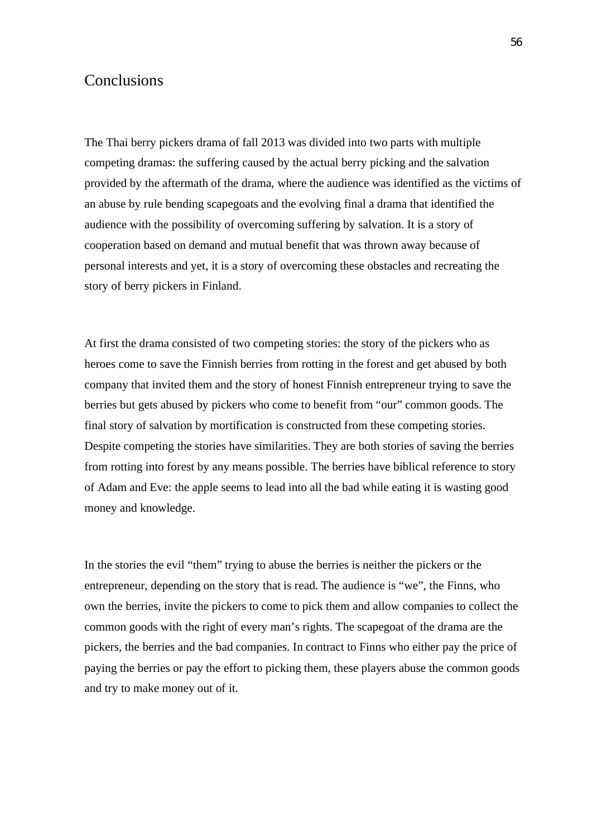# Conclusions

The Thai berry pickers drama of fall 2013 was divided into two parts with multiple competing dramas: the suffering caused by the actual berry picking and the salvation provided by the aftermath of the drama, where the audience was identified as the victims of an abuse by rule bending scapegoats and the evolving final a drama that identified the audience with the possibility of overcoming suffering by salvation. It is a story of cooperation based on demand and mutual benefit that was thrown away because of personal interests and yet, it is a story of overcoming these obstacles and recreating the story of berry pickers in Finland.

At first the drama consisted of two competing stories: the story of the pickers who as heroes come to save the Finnish berries from rotting in the forest and get abused by both company that invited them and the story of honest Finnish entrepreneur trying to save the berries but gets abused by pickers who come to benefit from "our" common goods. The final story of salvation by mortification is constructed from these competing stories. Despite competing the stories have similarities. They are both stories of saving the berries from rotting into forest by any means possible. The berries have biblical reference to story of Adam and Eve: the apple seems to lead into all the bad while eating it is wasting good money and knowledge.

In the stories the evil "them" trying to abuse the berries is neither the pickers or the entrepreneur, depending on the story that is read. The audience is "we", the Finns, who own the berries, invite the pickers to come to pick them and allow companies to collect the common goods with the right of every man's rights. The scapegoat of the drama are the pickers, the berries and the bad companies. In contract to Finns who either pay the price of paying the berries or pay the effort to picking them, these players abuse the common goods and try to make money out of it.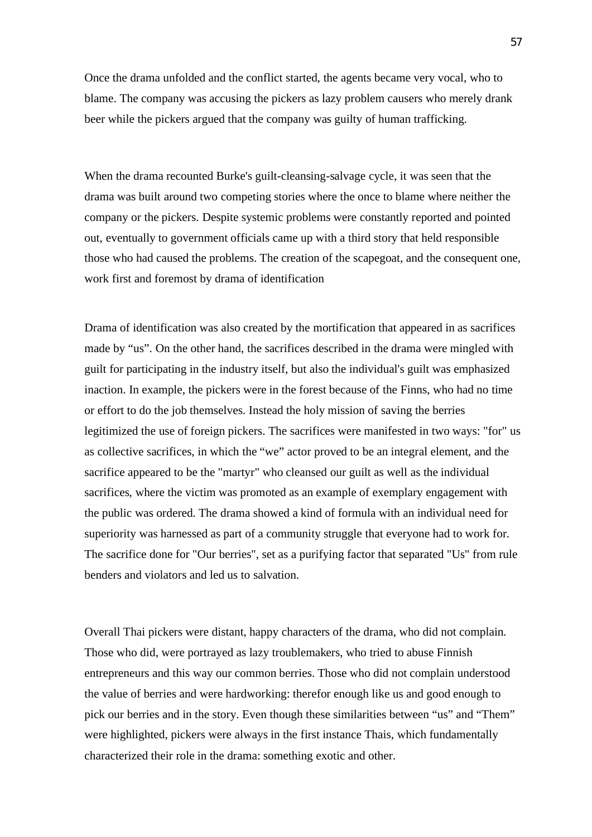Once the drama unfolded and the conflict started, the agents became very vocal, who to blame. The company was accusing the pickers as lazy problem causers who merely drank beer while the pickers argued that the company was guilty of human trafficking.

When the drama recounted Burke's guilt-cleansing-salvage cycle, it was seen that the drama was built around two competing stories where the once to blame where neither the company or the pickers. Despite systemic problems were constantly reported and pointed out, eventually to government officials came up with a third story that held responsible those who had caused the problems. The creation of the scapegoat, and the consequent one, work first and foremost by drama of identification

Drama of identification was also created by the mortification that appeared in as sacrifices made by "us". On the other hand, the sacrifices described in the drama were mingled with guilt for participating in the industry itself, but also the individual's guilt was emphasized inaction. In example, the pickers were in the forest because of the Finns, who had no time or effort to do the job themselves. Instead the holy mission of saving the berries legitimized the use of foreign pickers. The sacrifices were manifested in two ways: "for" us as collective sacrifices, in which the "we" actor proved to be an integral element, and the sacrifice appeared to be the "martyr" who cleansed our guilt as well as the individual sacrifices, where the victim was promoted as an example of exemplary engagement with the public was ordered. The drama showed a kind of formula with an individual need for superiority was harnessed as part of a community struggle that everyone had to work for. The sacrifice done for "Our berries", set as a purifying factor that separated "Us" from rule benders and violators and led us to salvation.

Overall Thai pickers were distant, happy characters of the drama, who did not complain. Those who did, were portrayed as lazy troublemakers, who tried to abuse Finnish entrepreneurs and this way our common berries. Those who did not complain understood the value of berries and were hardworking: therefor enough like us and good enough to pick our berries and in the story. Even though these similarities between "us" and "Them" were highlighted, pickers were always in the first instance Thais, which fundamentally characterized their role in the drama: something exotic and other.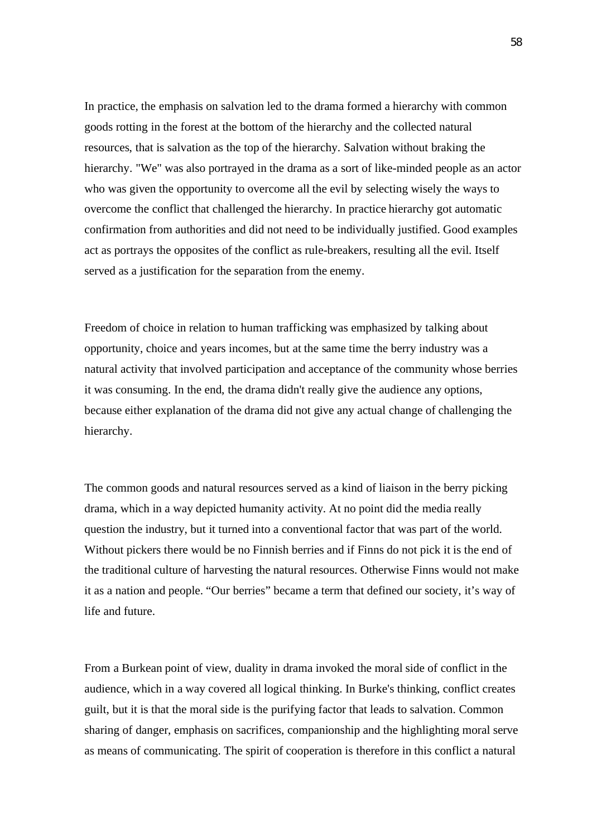In practice, the emphasis on salvation led to the drama formed a hierarchy with common goods rotting in the forest at the bottom of the hierarchy and the collected natural resources, that is salvation as the top of the hierarchy. Salvation without braking the hierarchy. "We" was also portrayed in the drama as a sort of like-minded people as an actor who was given the opportunity to overcome all the evil by selecting wisely the ways to overcome the conflict that challenged the hierarchy. In practice hierarchy got automatic confirmation from authorities and did not need to be individually justified. Good examples act as portrays the opposites of the conflict as rule-breakers, resulting all the evil. Itself served as a justification for the separation from the enemy.

Freedom of choice in relation to human trafficking was emphasized by talking about opportunity, choice and years incomes, but at the same time the berry industry was a natural activity that involved participation and acceptance of the community whose berries it was consuming. In the end, the drama didn't really give the audience any options, because either explanation of the drama did not give any actual change of challenging the hierarchy.

The common goods and natural resources served as a kind of liaison in the berry picking drama, which in a way depicted humanity activity. At no point did the media really question the industry, but it turned into a conventional factor that was part of the world. Without pickers there would be no Finnish berries and if Finns do not pick it is the end of the traditional culture of harvesting the natural resources. Otherwise Finns would not make it as a nation and people. "Our berries" became a term that defined our society, it's way of life and future.

From a Burkean point of view, duality in drama invoked the moral side of conflict in the audience, which in a way covered all logical thinking. In Burke's thinking, conflict creates guilt, but it is that the moral side is the purifying factor that leads to salvation. Common sharing of danger, emphasis on sacrifices, companionship and the highlighting moral serve as means of communicating. The spirit of cooperation is therefore in this conflict a natural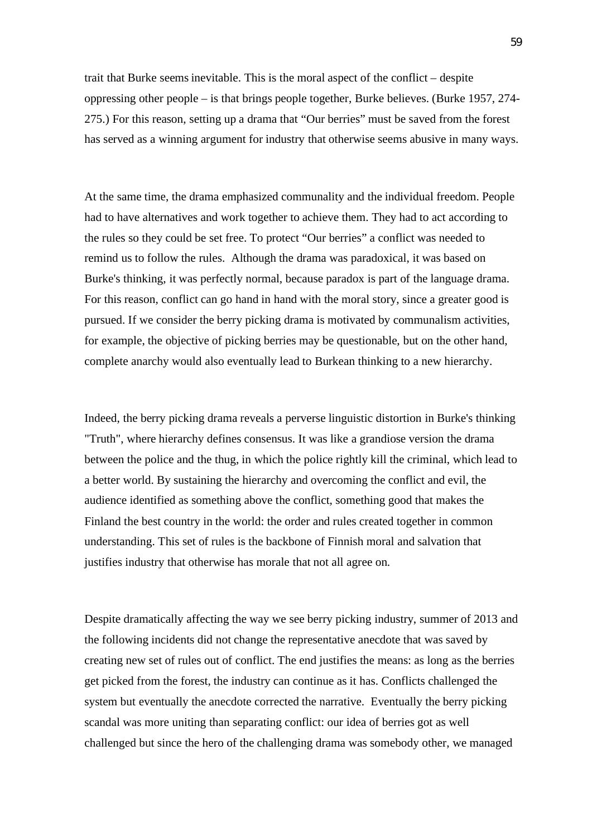trait that Burke seemsinevitable. This is the moral aspect of the conflict – despite oppressing other people – is that brings people together, Burke believes. (Burke 1957, 274- 275.) For this reason, setting up a drama that "Our berries" must be saved from the forest has served as a winning argument for industry that otherwise seems abusive in many ways.

At the same time, the drama emphasized communality and the individual freedom. People had to have alternatives and work together to achieve them. They had to act according to the rules so they could be set free. To protect "Our berries" a conflict was needed to remind us to follow the rules. Although the drama was paradoxical, it was based on Burke's thinking, it was perfectly normal, because paradox is part of the language drama. For this reason, conflict can go hand in hand with the moral story, since a greater good is pursued. If we consider the berry picking drama is motivated by communalism activities, for example, the objective of picking berries may be questionable, but on the other hand, complete anarchy would also eventually lead to Burkean thinking to a new hierarchy.

Indeed, the berry picking drama reveals a perverse linguistic distortion in Burke's thinking "Truth", where hierarchy defines consensus. It was like a grandiose version the drama between the police and the thug, in which the police rightly kill the criminal, which lead to a better world. By sustaining the hierarchy and overcoming the conflict and evil, the audience identified as something above the conflict, something good that makes the Finland the best country in the world: the order and rules created together in common understanding. This set of rules is the backbone of Finnish moral and salvation that justifies industry that otherwise has morale that not all agree on.

Despite dramatically affecting the way we see berry picking industry, summer of 2013 and the following incidents did not change the representative anecdote that was saved by creating new set of rules out of conflict. The end justifies the means: as long as the berries get picked from the forest, the industry can continue as it has. Conflicts challenged the system but eventually the anecdote corrected the narrative. Eventually the berry picking scandal was more uniting than separating conflict: our idea of berries got as well challenged but since the hero of the challenging drama was somebody other, we managed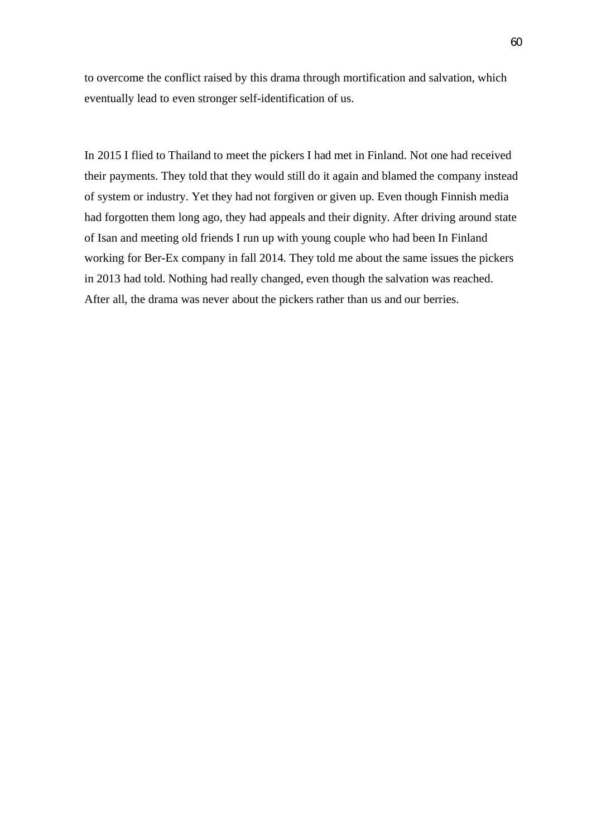to overcome the conflict raised by this drama through mortification and salvation, which eventually lead to even stronger self-identification of us.

In 2015 I flied to Thailand to meet the pickers I had met in Finland. Not one had received their payments. They told that they would still do it again and blamed the company instead of system or industry. Yet they had not forgiven or given up. Even though Finnish media had forgotten them long ago, they had appeals and their dignity. After driving around state of Isan and meeting old friends I run up with young couple who had been In Finland working for Ber-Ex company in fall 2014. They told me about the same issues the pickers in 2013 had told. Nothing had really changed, even though the salvation was reached. After all, the drama was never about the pickers rather than us and our berries.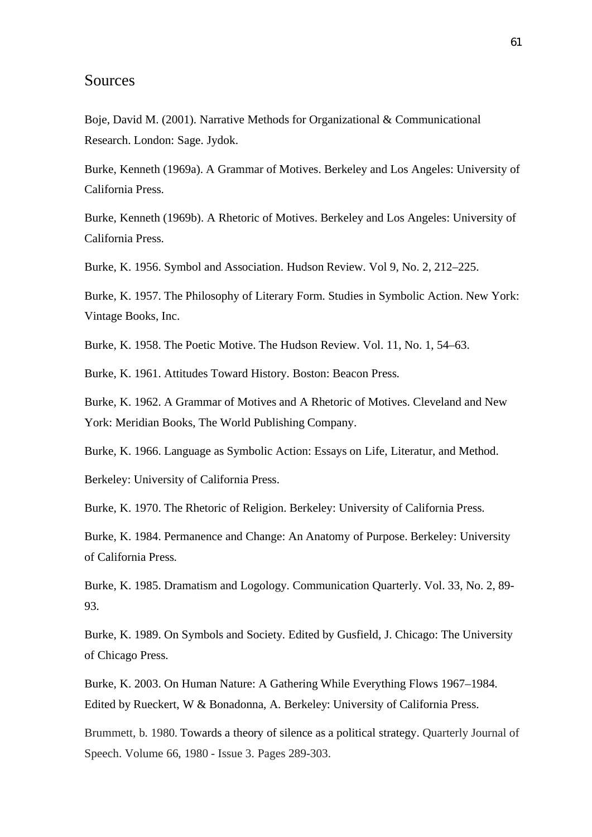### Sources

Boje, David M. (2001). Narrative Methods for Organizational & Communicational Research. London: Sage. Jydok.

Burke, Kenneth (1969a). A Grammar of Motives. Berkeley and Los Angeles: University of California Press.

Burke, Kenneth (1969b). A Rhetoric of Motives. Berkeley and Los Angeles: University of California Press.

Burke, K. 1956. Symbol and Association. Hudson Review. Vol 9, No. 2, 212–225.

Burke, K. 1957. The Philosophy of Literary Form. Studies in Symbolic Action. New York: Vintage Books, Inc.

Burke, K. 1958. The Poetic Motive. The Hudson Review. Vol. 11, No. 1, 54–63.

Burke, K. 1961. Attitudes Toward History. Boston: Beacon Press.

Burke, K. 1962. A Grammar of Motives and A Rhetoric of Motives. Cleveland and New York: Meridian Books, The World Publishing Company.

Burke, K. 1966. Language as Symbolic Action: Essays on Life, Literatur, and Method.

Berkeley: University of California Press.

Burke, K. 1970. The Rhetoric of Religion. Berkeley: University of California Press.

Burke, K. 1984. Permanence and Change: An Anatomy of Purpose. Berkeley: University of California Press.

Burke, K. 1985. Dramatism and Logology. Communication Quarterly. Vol. 33, No. 2, 89- 93.

Burke, K. 1989. On Symbols and Society. Edited by Gusfield, J. Chicago: The University of Chicago Press.

Burke, K. 2003. On Human Nature: A Gathering While Everything Flows 1967–1984. Edited by Rueckert, W & Bonadonna, A. Berkeley: University of California Press.

Brummett, b. 1980. Towards a theory of silence as a political strategy. Quarterly Journal of Speech. Volume 66, 1980 - Issue 3. Pages 289-303.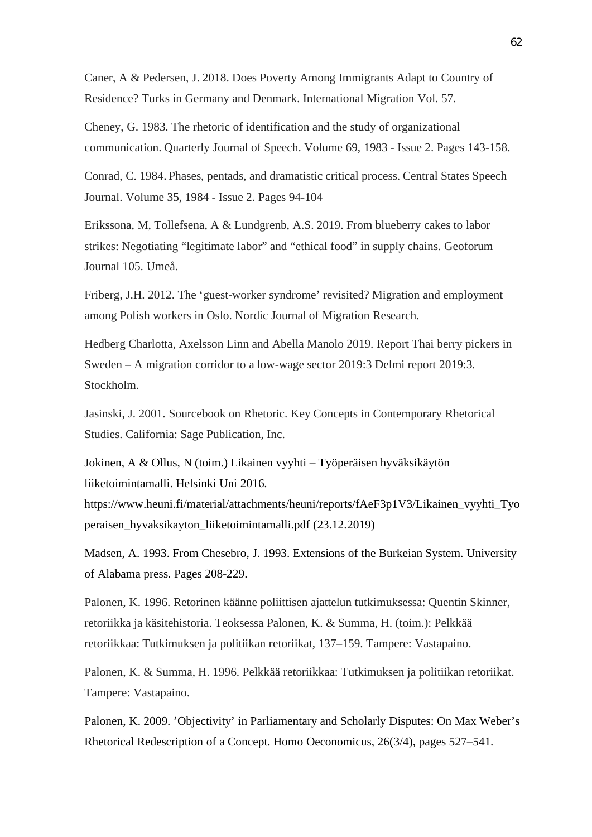Caner, A & Pedersen, J. 2018. Does Poverty Among Immigrants Adapt to Country of Residence? Turks in Germany and Denmark. International Migration Vol. 57.

Cheney, G. 1983. The rhetoric of identification and the study of organizational communication. Quarterly Journal of Speech. Volume 69, 1983 - Issue 2. Pages 143-158.

Conrad, C. 1984. Phases, pentads, and dramatistic critical process. Central States Speech Journal. Volume 35, 1984 - Issue 2. Pages 94-104

Erikssona, M, Tollefsena, A & Lundgrenb, A.S. 2019. From blueberry cakes to labor strikes: Negotiating "legitimate labor" and "ethical food" in supply chains. Geoforum Journal 105. Umeå.

Friberg, J.H. 2012. The 'guest-worker syndrome' revisited? Migration and employment among Polish workers in Oslo. Nordic Journal of Migration Research.

Hedberg Charlotta, Axelsson Linn and Abella Manolo 2019. Report Thai berry pickers in Sweden – A migration corridor to a low-wage sector 2019:3 Delmi report 2019:3. Stockholm.

Jasinski, J. 2001. Sourcebook on Rhetoric. Key Concepts in Contemporary Rhetorical Studies. California: Sage Publication, Inc.

Jokinen, A & Ollus, N (toim.) Likainen vyyhti – Työperäisen hyväksikäytön liiketoimintamalli. Helsinki Uni 2016.

https://www.heuni.fi/material/attachments/heuni/reports/fAeF3p1V3/Likainen\_vyyhti\_Tyo peraisen\_hyvaksikayton\_liiketoimintamalli.pdf (23.12.2019)

Madsen, A. 1993. From Chesebro, J. 1993. Extensions of the Burkeian System. University of Alabama press. Pages 208-229.

Palonen, K. 1996. Retorinen käänne poliittisen ajattelun tutkimuksessa: Quentin Skinner, retoriikka ja käsitehistoria. Teoksessa Palonen, K. & Summa, H. (toim.): Pelkkää retoriikkaa: Tutkimuksen ja politiikan retoriikat, 137–159. Tampere: Vastapaino.

Palonen, K. & Summa, H. 1996. Pelkkää retoriikkaa: Tutkimuksen ja politiikan retoriikat. Tampere: Vastapaino.

Palonen, K. 2009. 'Objectivity' in Parliamentary and Scholarly Disputes: On Max Weber's Rhetorical Redescription of a Concept. Homo Oeconomicus, 26(3/4), pages 527–541.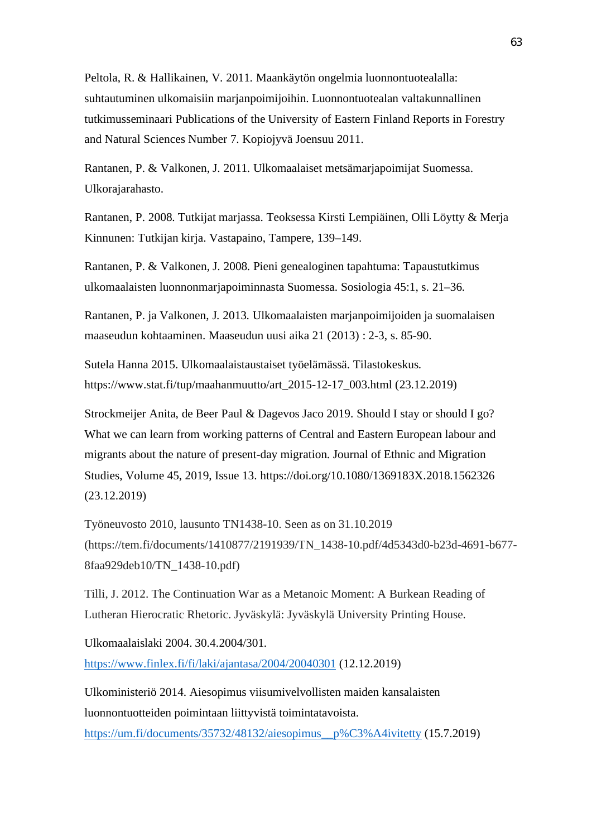Peltola, R. & Hallikainen, V. 2011. Maankäytön ongelmia luonnontuotealalla: suhtautuminen ulkomaisiin marjanpoimijoihin. Luonnontuotealan valtakunnallinen tutkimusseminaari Publications of the University of Eastern Finland Reports in Forestry and Natural Sciences Number 7. Kopiojyvä Joensuu 2011.

Rantanen, P. & Valkonen, J. 2011. Ulkomaalaiset metsämarjapoimijat Suomessa. Ulkorajarahasto.

Rantanen, P. 2008. Tutkijat marjassa. Teoksessa Kirsti Lempiäinen, Olli Löytty & Merja Kinnunen: Tutkijan kirja. Vastapaino, Tampere, 139–149.

Rantanen, P. & Valkonen, J. 2008. Pieni genealoginen tapahtuma: Tapaustutkimus ulkomaalaisten luonnonmarjapoiminnasta Suomessa. Sosiologia 45:1, s. 21–36.

Rantanen, P. ja Valkonen, J. 2013. Ulkomaalaisten marjanpoimijoiden ja suomalaisen maaseudun kohtaaminen. Maaseudun uusi aika 21 (2013) : 2-3, s. 85-90.

Sutela Hanna 2015. Ulkomaalaistaustaiset työelämässä. Tilastokeskus. https://www.stat.fi/tup/maahanmuutto/art\_2015-12-17\_003.html (23.12.2019)

Strockmeijer Anita, de Beer Paul & Dagevos Jaco 2019. Should I stay or should I go? What we can learn from working patterns of Central and Eastern European labour and migrants about the nature of present-day migration. Journal of Ethnic and Migration Studies, Volume 45, 2019, Issue 13. https://doi.org/10.1080/1369183X.2018.1562326 (23.12.2019)

Työneuvosto 2010, lausunto TN1438-10. Seen as on 31.10.2019 (https://tem.fi/documents/1410877/2191939/TN\_1438-10.pdf/4d5343d0-b23d-4691-b677- 8faa929deb10/TN\_1438-10.pdf)

Tilli, J. 2012. The Continuation War as a Metanoic Moment: A Burkean Reading of Lutheran Hierocratic Rhetoric. Jyväskylä: Jyväskylä University Printing House.

Ulkomaalaislaki 2004. 30.4.2004/301. https://www.finlex.fi/fi/laki/ajantasa/2004/20040301 (12.12.2019)

Ulkoministeriö 2014. Aiesopimus viisumivelvollisten maiden kansalaisten luonnontuotteiden poimintaan liittyvistä toimintatavoista. https://um.fi/documents/35732/48132/aiesopimus\_\_p%C3%A4ivitetty (15.7.2019)